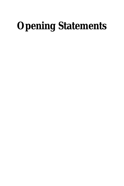# **Opening Statements**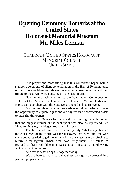# **Opening Ceremony Remarks at the United States Holocaust Memorial Museum Mr. Miles Lerman**

### CHAIRMAN, UNITED STATES HOLOCAUST MEMORIAL COUNCIL UNITED STATES

It is proper and most fitting that this conference began with a symbolic ceremony of silent contemplation in the Hall of Remembrance of the Holocaust Memorial Museum where we invoked memory and paid tribute to those who were consumed in the Nazi inferno.

Now let me welcome you to the Washington Conference on Holocaust-Era Assets. The United States Holocaust Memorial Museum is pleased to co-chair with the State Department this historic event.

For the next three days representatives of 44 countries will have the opportunity to explore a just and orderly return of confiscated assets to their rightful owners.

It took over 50 years for the world to come to grips with the fact that the biggest murder of the century; it was also, as my friend Ben Meed reminds us, the biggest robbery in history.

This fact is not limited to one country only. What really shocked the conscience of the world was the discovery that even after the war, some countries tried to gain materially from this cataclysm by refusing to return to the rightful owners what was justly theirs. The refusal to respond to these rightful claims was a great injustice, a moral wrong which can not be ignored.

And this is what brings us together today.

We are here to make sure that these wrongs are corrected in a just and proper manner.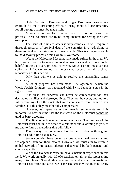Under Secretary Eizenstat and Edgar Bronfman deserve our gratitude for their unrelenting efforts to bring about full accountability for all wrongs that must be made right.

Among us are countries that on their own volition began this process. These countries are to be complimented for setting the right examples.

The issue of Nazi-era assets is very complex. It will require a thorough research of archival data of the countries involved. Some of these archival repositories are still inaccessible. This is a major obstacle to the discovery process, which we must overcome.

We, at the Holocaust Museum, have made strides in the area. We have gained access to many archival repositories and we hope to be helpful in the discovery process. However, we as a group must use our collective influence to obtain unrestricted access to all archival repositories of this period.

Only then will we be able to resolve the outstanding issues judiciously.

A lot of progress has been made. The agreement which the World Jewish Congress has negotiated with Swiss banks is a step in the right direction.

It is clear that survivors can never be compensated for their decimated families and destroyed lives. They are, however, entitled to a full accounting of all the assets that were confiscated from them or their families. For this, they must be fully compensated.

However, as imperative as the financial settlements are, it is important to bear in mind that the last word on the Holocaust cannot be gold or bank accounts.

The final objective must be remembrance. The lessons of the Holocaust must continue to serve as a reminder and a warning to you, to me and to future generations that will follow.

This is why this conference has decided to deal with ongoing Holocaust education extensively.

Some countries have begun various educational programs and we applaud them for there efforts. However, we must aim to create a global network of Holocaust education that would be both general and country specific.

We at the Holocaust Museum have substantial experience in this field. We work annually with 30,000 teachers on all levels, representing many disciplines. Should this conference endorse an international Holocaust education initiative, we at the Holocaust Museum stand ready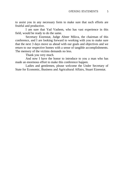to assist you in any necessary form to make sure that such efforts are fruitful and productive.

I am sure that Yad Vashem, who has vast experience in this field, would be ready to do the same.

Secretary Eizenstat, Judge Abner Mikva, the chairman of this conference, and I are looking forward to working with you to make sure that the next 3 days move us ahead with our goals and objectives and we return to our respective homes with a sense of tangible accomplishments. The memory of the victims demands no less.

Thank you very much.

And now I have the honor to introduce to you a man who has made an enormous effort to make this conference happen.

Ladies and gentlemen, please welcome the Under Secretary of State for Economic, Business and Agricultural Affairs, Stuart Eizenstat.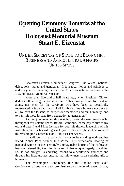# **Opening Ceremony Remarks at the United States Holocaust Memorial Museum Stuart E. Eizenstat**

## UNDER SECRETARY OF STATE FOR ECONOMIC, BUSINESS AND AGRICULTURAL AFFAIRS UNITED STATES

Chairman Lerman, Members of Congress, Elie Wiesel, national delegations, ladies and gentleman: It is a great honor and privilege to address you this evening, here at this American national treasure – the U.S. Holocaust Memorial Museum.

More than five and a half years ago, when President Clinton dedicated this living memorial, he said: "This museum is not for the dead alone, nor even for the survivors who have been so beautifully represented; it is perhaps most of all for those of us who were not there at all, to learn the lessons, to deepen our memories and our humanity, and to transmit those lessons from generation to generation."

As we join together this evening, those eloquent words echo throughout this solemn space. Before I continue, let me pay tribute to my old and dear friend Miles Lerman for both his tireless leadership of this institution and for his willingness to join with me as the co-Chairman of the Washington Conference on Holocaust-era Assets.

In addition, it is a particular honor to be standing with another friend, Nobel Prize winner Elie Wiesel. His remarkable bearing of personal witness to the seemingly unimaginable horror of the Holocaust has shed eternal light on the darkness of that unique tragedy, By doing so, he has brought its enduring lessons to a worldwide audience and through his literature has ensured that his witness is an enduring gift to humanity.

The Washington Conference, like the London Nazi Gold Conference, of one year ago, promises to be a landmark event. It may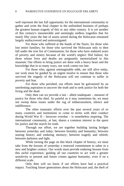well represent the last full opportunity for the international community to gather and write the final chapter in the unfinished business of perhaps the greatest human tragedy of this or any other century. It is yet another of this century's innumerable and seemingly endless tragedies that for nearly fifty years the fate of assets seized during the Holocaust remained largely undiscovered and uninvestigated.

For those who suffered at the hands of the Nazis; for those who lost entire families; for those who survived the Holocaust only to then fall under the iron fist of Communism; for those who have endured years of poverty and misery because of the world's neglect Slid failure; for those whose lives and deaths are poignantly memorialized in this museum: Our efforts to bring justice are done with a heavy heart and the knowledge that in so many ways, our work comes too late.

For those who, against unimaginable odds, are still alive today, our work must be guided by an urgent resolve to ensure that those who survived the tragedy of the Holocaust will not continue to suffer in poverty and fear.

For those who perished, our efforts must be galvanized by an unrelenting aspiration to uncover the truth and to seek justice for both the living and the dead.

Only then can we provide a last – albeit inadequate – measure of justice for those who died. As painful as it may sometimes be, we must not sweep these issues under the rug of embarrassment, silence and indifference.

The often traumatic efforts over the past several years of so many countries and institutions to come to terms with their conduct during World War II – however overdue – is nonetheless inspiring. The international community, at last, shares a common interest in the quest for justice and the search for truth.

Through our effort, we are together building lasting bridges between yesterday and today; between brutality and humanity; between searing history and enduring memory; between tragedy and rebirth; between darkness and light.

While turning the page on this black chapter of history, we must take from the lessons of yesterday a renewed commitment to usher in a new and brighter century. Our words must provide enduring lessons from this awful experience, guiding all our countries to act with a greater sensitivity to present and future crimes against humanity, even if on a different scale.

Only then will we know if our efforts have had a practical impact. Teaching future generations about the Holocaust and, the theft of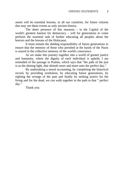assets will be essential lessons, in all our countries, for future citizens that may see these events as only ancient history.

The sheer presence of this museum – in the Capitol of the world's greatest bastion for democracy – will for generations to come perform the essential task of further educating all peoples about the horrors and the lessons of the Holocaust.

It must remain the abiding responsibility of future generations to ensure that the memory of those who perished at the hands of the Nazis is seared in the collective memory of the world's conscience.

As we make this journey together into a world of greater justice and humanity, where the dignity of each individual is upheld, I am reminded of the passage in Psalms, which says that "the path of the just is as the shining light, that shineth more and more unto the perfect day."

By undertaking a moral accounting, by completing the historical record, by providing restitution, by educating future generations, by righting the wrongs of the past and finally by seeking justice for the living and for the dead, we can walk together in the path to that " perfect day."

Thank you.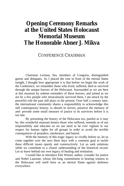# **Opening Ceremony Remarks at the United States Holocaust Memorial Museum The Honorable Abner J. Mikva**

#### CONFERENCE CHAIRMAN

Chairman Lerman, Stu, members of Congress, distinguished guests and delegates. As I placed the rose in front of the eternal flame tonight, I thought how appropriate it is that before we begin the work of the Conference, we remember those who lived, suffered, died or survived through the unique horrors of the Holocaust. Surrounded as we are here at this museum by solemn reminders of these horrors, and joined as we are by a few people who miraculously survived them, I am struck by the powerful role the past still plays in the present. Over half a century later, the international community shares a responsibility to acknowledge this still contemporary history, to absorb its terrors, preserve the memory of and- provide some small measure of justice to its survivors before it is too late.

By presenting the history of the Holocaust era, painful as it may be, this wonderful museum honors those who suffered, reminds us of our responsibility and educates us on our need to be ever vigilant in our respect for human rights for all groups in order to avoid the terrible consequences of prejudice, intolerance, and hatred.

With the memory of this tragic legacy so vividly before us, let us come together over the next three days with a common goal to tackle these difficult issues openly and constructively. Let us seek solutions while we contribute to a clearer understanding of the historical record. Let us leave behind our own legacy of healing and restitution.

I would like to introduce Elie Wiesel, author, crusader for justice and Nobel Laureate, whose life-long commitment to bearing witness to the Holocaust will itself burn as an eternal flame against darkness everywhere.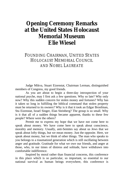## **Opening Ceremony Remarks at the United States Holocaust Memorial Museum Elie Wiesel**

## FOUNDING CHAIRMAN, UNITED STATES HOLOCAUST MEMORIAL COUNCIL AND NOBEL LAUREATE

Judge Mikva, Stuart Eizenstat, Chairman Lerman, distinguished members of Congress, my good friends.

As you are about to begin a three-day introspection of your national psyche, may I first ask a few questions. Why so late? Why only now? Why this sudden concern for stolen money and fortunes? Why has it taken so long in fulfilling the biblical command that stolen property must be returned to its owners? Why is it that it took an Edgar Bronfman, Stu Eizenstat, Israel Singer, Elan Steinberg? The group is so small. Why is it that all of a sudden things became apparent, thanks to these few people? Where were the others?

Permit me to express my hope that we have not come here to speak about money. We have come here to speak about conscience, morality and memory. Usually, anti-Semites say about us Jews that we speak about lofty things, but we mean money. Just the opposite. Here, we speak about money, but we think of other things. The man who speaks to you belongs to a traumatized generation which is still oscillating between anger and gratitude. Gratitude for what we owe our friends, and anger at those, who, in our times of distress and solitude, have withdrawn into comfortable indifference.

Inspired by moral rather than financial concerns, this conference in this place which is so particular, so important, so essential to our national survival as human beings everywhere, this conference is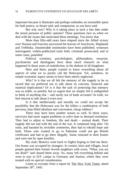important because it illustrates and perhaps embodies an irresistible quest for both justice, as Stuart said, and compassion, as you have said.

But why now? Why is it taking place at such a late date under the moral pressure of public opinion? These questions face us when we deal with the issues that motivated these meetings. You know that.

More than fifty-odd years have elapsed since the Allied victory over Nazism and Fascism uncovered the horrors of Auschwitz, Majdanek and Treblinka. Innumerable testimonies have been published, witnesses interrogated, widely-publicized trials held, criminals prosecuted, and in some cases, punished.

Political scientists, psychologists, philosophers, essayists, psychiatrists and theologians have done much research on what happened in those years of malediction, in the darkest of all kingdoms.

Here and there, people wanted to know everything about all aspects of what we so poorly call the Holocaust. Yet, somehow, its simple economic aspect seems to have been utterly neglected.

Why? Is it that we all felt the memory of the tragedy to be so sacred that we preferred not to talk about its concrete, financial and material implications? Or is it that the task of protecting that memory was so noble, so painful, but so urgent that we simply felt it undignified to think of anything else – and surely not of bank accounts? In truth, we feel reticent to talk about it even now.

Is it that intellectually and morally we could not accept the possibility that the Holocaust was for the killers a combination of both perverse, hate-filled idealism and convenient, cheap robbery?

There may have been another reason as well. In those years, survivors had more urgent problems to solve than to demand restitution. They had to adjust to freedom, life and death – normal death. Their tragedy did not end with the end of the war. It continued long after. On ruins, and haunted by invisible cemeteries, they had to rebuild hope and faith. Those who wanted to go to Palestine could not get British certificates and had to go there illegally. Some returned to their homes and were met by open hostility.

My sister Beatrice went back to Sighet hoping to find me there. Our house was occupied by strangers. In certain cities and villages, local people greeted their former Jewish neighbors with scorn, "What, you are not dead?" and chased them away. So, many left everything behind and went to stay in D.P. camps in Germany and Austria, where they were treated with no special consideration.

Listen to excerpts from a report by The New York Times, dated September  $30<sup>th</sup>$ , 1945.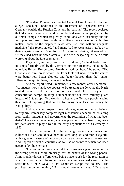"President Truman has directed General Eisenhower to clean up alleged shocking conditions in the treatment of displaced Jews in Germany outside the Russian Zone and in Austria." The report declared that "displaced Jews were held behind barbed wire in camps guarded by our men, camps in which frequently, conditions were unsanitary and the food poor and insufficient. With our military more concerned with other matters, some of the displaced Jews were sick and without adequate medicine," the report stated, "and many had to wear prison garb, or to their chagrin, German SS uniforms. All were wondering," it was added, "if they had been liberated after all, and were despairing of help while worrying about the fate of relatives."

They were, in many cases, the report said, "behind barbed wire in camps formerly used by the Germans for their prisoners, including the notorious Bergen-Belsen camp. Nearly all had lost hope," he stated. "The Germans in rural areas whom the Jews look out upon from the camps were better fed, better clothed, and better housed than the" quote, 'liberated' unquote, Jews, the report declared.

And the report noted – remember, a few months after liberation – "As matters now stand, we appear to be treating the Jews as the Nazis treated them except that we do not exterminate them. They are in concentration camps, in large numbers under our own military guard instead of S.S. troops. One wonders whether the German people, seeing this, are not supposing that we are following or at least condoning the Nazi policy."

And you would expect these refugees, uprooted human beings, to organize immensely complex legal mechanisms capable of obtaining from banks, museums and governments the restitution of what had been theirs? They were treated everywhere as poor cousins, at best. They were not even asked to play a role in the early negotiations with Germany in 1953.

In truth, the search for the missing monies, apartments and collections of art should have been initiated long ago and more elegantly, with a greater measure of grace – by banks and governments themselves. And I speak of neutral countries, as well as of countries which had been occupied by the Germans.

Now we know that some did that, some were gracious – but for the wrong reasons. More precisely, for the benefit of the wrong people. Almost under duress, efforts were being made to ask for the restitution of what had been stolen. In some places, because Jews had asked for the restitution, a new wave of anti-Semitism swept the country. The prophet's outcry to the king, *"Haraz-tachta vegam yarashta,"* "You have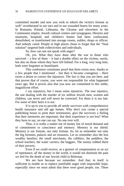committed murder and now you wish to inherit the victim's fortune as well" reverberated in our ears and in our wounded hearts for many years. In Romania, Poland, Lithuania, the Ukraine and elsewhere in the Communist empire, Jewish cultural centers and synagogues, libraries and museums, hospitals and children's homes had been confiscated, demolished, or transformed into storage rooms, stables, shops or offices. And nobody cared. People in high places chose to forget that the "final solution" targeted both collectivities and individuals.

So, how can one not speak with anger?

Oh, yes. What they have done after the war to those who survived – a few of them – it had a double effect on the victims, surely, but also on those whom they have left behind. For a long, very long time, both were forgotten or humiliated.

This conference constitutes proof that there exists now, thanks to a few people that I mentioned – but then it became contagious – there exists a desire to correct the injustices. The fact is that you are here, and that proves that of course, you were not responsible for what happened years ago. But it proves also that you now are committed to this noble, magnificent effort.

I say injustices, but I mean some injustices. The true injustice, the one dealing with the murder of six million Jewish men, women and children, can never and will never be corrected. For them it is too late. For some of their heirs it is not.

It is up to you to provide all needy survivors with comprehensive health insurance and old age homes. Why don't you create a special publishing house to print their testimonies, give the survivors a feeling that their memories are important, that their experience is not lost? What they have to say, no one can say. No one ever will.

Thus, it is really a matter not of money but of moral demand and of commitment to conscience and memory. Memory is our shield. Memory is our fortune, our only fortune. So, let us remember not only the big fortunes, palaces and art treasures. Let us remember also the less wealthy families: the small merchants, the cobblers, the peddlers, the school teachers, the water carriers, the beggars. The enemy robbed them of their poverty.

Even if we could receive, as a gesture of compensation or an act of repentance, all the money in the world, it would not diminish the pain we feel for the death of one Jewish child in Birkenau.

We are here because we remember. And that, in itself, is sufficient to enable us to replace justifiable anger with impossible hope, especially since we must admit that there were good people, too. There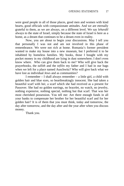were good people in all of those places, good men and women with kind hearts, good officials with compassionate attitudes. And we are eternally grateful to them, as we are always, on a different level. We say *lehavdil* always to the state of Israel, simply because the state of Israel is here as a home, as a dream that continues to be a dream even in reality.

Now, you are about to begin your discussions. May I tell you that personally I was not and am not involved in this phase of remembrance. We were not rich at home. Romania's former president wanted to make my house into a new museum, but I preferred it to be inhabited by homeless families. My books, those I bought with my pocket money in my childhood are lying in dust somewhere; I don't even know where. Who can give them back to me? Who will give back the prayerbooks, the *tallith* and the *tefilin* my father and I had in our bags when we left for a place named Auschwitz? Who will give back what we have lost as individual Jews and as communities?

I remember – I shall always remember – a little girl, a child with golden hair and blue eyes, so heartbreakingly innocent. She had taken a beautiful scarf with her, a scarf which she had received as a present for Passover. She had no golden earrings, no bracelet, no watch, no jewelry, nothing expensive, nothing special, nothing but that scarf. That was her most cherished possession. You tell me: Are there enough funds in all your banks to compensate her brother for her beautiful scarf and for her golden hair? It is of them that you must think, today and tomorrow, the day after tomorrow, and the day after and the year after when you discuss money.

Thank you.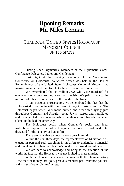## **Opening Remarks Mr. Miles Lerman**

### CHAIRMAN, UNITED STATES HOLOCAUST MEMORIAL COUNCIL UNITED STATES

Distinguished Dignitaries, Members of the Diplomatic Corps, Conference Delegates, Ladies and Gentlemen:

Last night at the opening ceremony of the Washington Conference on Holocaust Era-Assets, which was held in the Hall of Remembrance of the United States Holocaust Memorial Museum, we invoked memory and paid tribute to the victims of the Nazi inferno.

We remembered the six million Jews who were murdered for one reason only because they were born Jewish. We paid tribute to the millions of others who perished at the hands of the Nazis.

In our personal introspection, we remembered the fact that the Holocaust did not begin with the mass killings in Eastern Europe. The Holocaust began when Nazi mobs burned and desecrated synagogues throughout Germany and Austria, looted Jewish stores, and humiliated and incarcerated their owners while neighbors and friends remained silent and looked the other way.

The Holocaust began when Germany's social and legal institutions supported a political regime that openly professed total disregard for the sanctity of human life.

These are facts that we must always bear in mind.

Within the next three days, the representatives of 44 Nations will engage in personal soul searching in an effort to undertake a financial and moral audit of their own Nation's conduct in those dreadful days.

We are here to acknowledge and bring to the attention of the world the fact that the Holocaust was not limited to mass murder.

With the Holocaust also came the greatest theft in human history – the theft of money, art, gold, precious manuscripts, insurance policies, and a host of other victims' assets.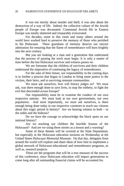It was not merely about murder and theft; it was also about the destruction of a way of life. Indeed, the collective culture of the Jewish people of Europe was devastated. Communal Jewish life in Eastern Europe was totally shattered and irreparably eviscerated.

For decades, some in this room and many others around the world have worked hard to preserve the memory of those who perished in the Holocaust. These guardians of memory deserve our sincere admiration for ensuring that the flame of remembrance will burn brightly into the next century.

But you are looking at a man and a generation that understand that the process of passing the torch must begin. It is only a matter of time before the last Holocaust survivor and witness passes on.

We are fortunate that the children of survivors and their children understand the imperative of continuing the legacy of remembrance.

For the sake of their future, our responsibility in the coming days is to further a process that began in London to bring some justice to the victims, their heirs, and to surviving remnant communities.

We must ask ourselves, how will history judges us? We must ask, was there enough done to save lives, to stop the robbery, to fight the evil that descended across Europe?

Our responsibility must be to examine the conduct of our own respective nations. We must look at our own governments, our own population. And most importantly, we must ask ourselves, is there enough being done today in our respective countries to teach our citizens about this tragic period in history? Are we bearing witness to both  $-$  to the noble and the hideous?

Do we have the courage to acknowledge the black spots on our national history?

Are we teaching our children the horrible lessons of the Holocaust? And are we using these stories as a lesson and a warning?

Some of these themes will be covered at the State Department, but especially at the Holocaust education sessions on Wednesday at the United States Holocaust Memorial Museum. On that day, delegates from around the world will explore and share ideas of how best to implement a global network of Holocaust educational and remembrance programs, as well as, research projects.

These are the programs that will be a true measure of the success of this conference, since Holocaust education will impact generations to come long after all outstanding financial claims will be accounted for.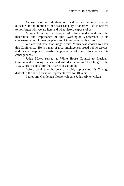As we begin our deliberations and as we begin to involve ourselves in the minutia of one asset category or another – let us resolve to not forget why we are here and what history expects of us.

Among those special people who fully understand and the magnitude and importance of this Washington Conference is its Chairman, whom I have the pleasure of introducing at this time.

We are fortunate that Judge Abner Mikva was chosen to chair this Conference. He is a man of great intelligence, broad public service, and has a deep and heartfelt appreciation of the Holocaust and its consequences.

Judge Mikva served as White House Counsel to President Clinton, and for many years served with distinction as Chief Judge of the U.S. Court of appeal for the District of Columbia.

Before coming to the bench, he ably represented his Chicago district in the U.S. House of Representatives for 10 years.

Ladies and Gentlemen please welcome Judge Abner Mikva.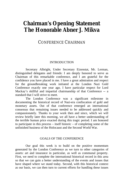## **Chairman's Opening Statement The Honorable Abner J. Mikva**

#### CONFERENCE CHAIRMAN

#### **INTRODUCTION**

Secretary Albright, Under Secretary Eizenstat, Mr. Lerman, distinguished delegates and friends: I am deeply honored to serve as Chairman of this remarkable conference, and I am grateful for the confidence you have placed in me. I have a great admiration and respect for the groundbreaking work initiated at the London Nazi Gold Conference exactly one year ago. I have particular respect for Lord Mackay's skillful and impartial chairmanship of that Conference -- a standard that I will strive to meet.

The London Conference was a significant milestone in documenting the historical record of Nazi-era confiscation of gold and monetary assets. Out of that conference emerged an international consensus that remaining issues needed to be addressed quickly and compassionately. Thanks to your work then and since, which we will review briefly later this morning, we all have a better understanding of the terrible human price exacted during this tragic period. I am honored to participate in this process – itself historic – of completing some of the unfinished business of the Holocaust and the Second World War.

#### GOALS OF THE CONFERENCE

Our goal this week is to build on the positive momentum generated by the London Conference as we turn to other categories of assets: art and insurance in particular, as well as communal property. First, we need to complete the international historical record in this area so that we can gain a better understanding of the events and issues that have shaped where we stand today. Second, with this historical context as our basis, we can then turn to current efforts for handling these issues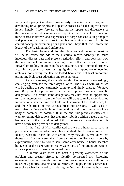fairly and openly. Countries have already made important progress in developing broad principles and specific processes for dealing with these issues. Finally, I look forward to hearing the reports and discussions of the presenters and delegations and expect we will be able to draw on these shared initiatives and experiences to forge consensus on principles and practices that we can use to resolve remaining issues. This is the central concept underpinning our agenda and I hope that it will frame the legacy of the Washington Conference.

The basic framework for the plenaries and break-out sessions will be to review and add to the historical record, identify the issues involved, discuss past and present restitution efforts and consider how the international community can agree on effective ways to move forward on finding solutions in the art, insurance and communal property areas in particular—as well as highlighting the importance of opening archives, considering the fate of looted books and not least important, promoting Holocaust education and remembrance.

As you can see, the agenda for this Conference is exceedingly challenging, even for the three days allotted. The issues with which we will be dealing are both extremely complex and highly charged. We have over 80 presenters providing expertise and opinion. We also have 60 delegations. As a result, some delegations may not have an opportunity to make interventions from the floor, or will want to make more detailed interventions than the time available. As Chairman of the Conference, I – and the Chairmen of the various break-out sessions – will seek to maximize the time available for interventions and to recognize as wide a body of comment as possible. If, in the end, this proves insufficient, I want to remind delegations that they may submit position papers that will become part of the official record of this Conference. Instructions for this have already been provided to delegations.

In the field of Nazi-confiscated art, we are honored to have as presenters several scholars who have studied the historical record to identify what the Nazis did with art and why they did it. We know that thousands of works were taken from victims of the Holocaust, some by expropriation, some by forced sale, some after house-to-house searches by agents of the Nazi regime. Many were parts of important collections; all were precious to those who owned them.

In recent years there has been a growing awareness of the problem and greater efforts to identify confiscated art. Resolving ownership claims presents questions for governments, as well as for museums, galleries, dealers and collectors. We hope, in this Conference, to explore what happened to art during the War and its aftermath, to hear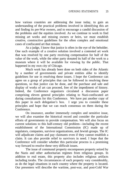how various countries are addressing the issue today, to gain an understanding of the practical problems involved in identifying this art and finding its pre-War owners, and to encourage a candid discussion of the problems and the equities involved. As we continue to work to find missing art works and missing owners or heirs, we must establish creative, constructive guidelines for the often complex and emotional cases of confiscated art that remain.

As a judge, I know that justice is often in the eye of the beholder. One such example of a creative solution involved a contested art work that was resolved by one party receiving compensation for half of the value of the work, while the other party donated its half of the work to a museum where it will be available for viewing by the public. That happened in my own city of Chicago.

Much work has already been done on both sides of the Atlantic by a number of governments and private entities alike to identify guidelines for use in resolving these issues. I hope the Conference can agree on a group of principles that can be followed in resolving these questions, so that justice can be done, and the purchase and sale and display of works of art can proceed, free of the impediment of history. Indeed, the Conference organizers circulated a discussion paper comprising eleven general principles relating to Nazi-confiscated art during consultations for this Conference. We have put another copy of this paper in each delegation's box. I urge you to consider these principles and hope that we can reach consensus on them during the Conference.

On insurance, another immensely complex and sensitive issue, we will also examine the historical record and consider the particular efforts of governments to provide compensation. We will also focus on current solutions to this half-century old problem—including the recent establishment of the International Commission (IC) made up of regulators, companies, survivor organizations, and Jewish groups. The IC will adjudicate claims and pay claimants even if they cannot establish a claim. It can also provide relief to survivors in need. I hope that the Conference will consider whether this particular process is a promising way forward to resolve these very difficult issues.

The issue of communal property encompasses property seized by the Nazis and other authoritarian regimes from religious groups. In addition to real estate, this property also includes religious artifacts including torahs. The circumstances of each property vary considerably, as do the legal situations in each country where the property is located. Our presenters will describe the wartime, post-war, and post-Cold War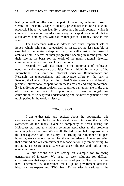history as well as efforts on the part of countries, including those in Central and Eastern Europe, to identify procedures that are realistic and practical. I hope we can identify a procedure in each country, which is equitable, transparent, non-discriminatory and expeditious. While that is a tall order, nothing less will assure that justice is finally done in this area.

The Conference will also address two other important sets of issues, which, while not categorized as assets, are no less tangible or essential to our entire enterprise. First, we will consider the issue of archives both in terms of their progressive opening in recent years and their role as the basis for the work of the many national historical commissions that are with us at the Conference.

Second, we will also focus on the importance of Holocaust education and remembrance activities. We will highlight the work of the International Task Force on Holocaust Education, Remembrance and Research—an unprecedented and innovative effort on the part of Sweden, the United Kingdom, the United States, Germany and Israel to promote international cooperation in these areas of enduring importance. By identifying common projects that countries can undertake in the area of education, we have the opportunity to make a long-lasting contribution to widespread understanding and acknowledgement of this tragic period in the world's history.

#### **CONCLUSION**

I am enthusiastic and excited about the opportunity this Conference has to clarify the historical record, increase the world's awareness of the many layers of complexity at work during the Holocaust era, and to establish common approaches to the problems remaining from that time. We are all affected by and held responsible for the consequences of our history. In striving to remember the past honestly, we show our respect for the unprecedented human suffering that occurred and our commitment to reconciliation. By remembering, by providing a measure of justice, we can accept the past and build a more equitable future.

By our actions we are setting an example for following generations of integrity. We need to seek solutions for difficult circumstances that express our inner sense of justice. The fact that we have assembled 56 delegations made up of government officials, historians, art experts and NGOs from 43 countries is a tribute to the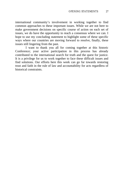international community's involvement in working together to find common approaches to these important issues. While we are not here to make government decisions on specific course of action on each set of issues, we do have the opportunity to reach a consensus where we can. I hope to use my concluding statement to highlight some of these specific ways where our countries are moving forward to resolve, finally, these issues still lingering from the past.

I want to thank you all for coming together at this historic Conference; your active participation in this process has already contributed to the international search for truth and the quest for justice. It is a privilege for us to work together to face these difficult issues and find solutions. Our efforts here this week can go far towards restoring trust and faith in the rule of law and accountability for acts regardless of historical constraints.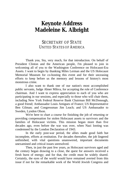## **Keynote Address Madeleine K. Albright**

#### SECRETARY OF STATE UNITED STATES OF AMERICA

Thank you, Stu, very much, for that introduction. On behalf of President Clinton and the American people, I'm pleased to join in welcoming all of you to the Washington Conference on Holocaust-Era Assets. I want to begin by thanking Miles Lerman and the US Holocaust Memorial Museum for co-hosting this event and for their unceasing efforts to keep before us the memory and lessons of history's most monstrous crime.

I also want to thank one of our nation's most accomplished public servants, Judge Abner Mikva, for accepting the role of Conference chairman. And I want to express appreciation to each of you who are participating in our sessions, and especially to those who will chair them, including New York Federal Reserve Bank Chairman Bill McDonough, a good friend; Ambassador Louis Amigues of France; US Representative Ben Gilman; and Congressman Jim Leach; and US Ambassador to Sweden, Lyndon Olson.

We're here to chart a course for finishing the job of returning or providing compensation for stolen Holocaust assets to survivors and the families of Holocaust victims. This mission began more than five decades ago, even before the war was over, when Nazi looting was condemned by the London Declaration of 1943.

In the early post-war period, the allies made good faith but incomplete, efforts at restitution. For decades thereafter, the job lingered unfinished, with vital questions unanswered, important documents unexamined and critical issues unresolved.

Then, in just the past few years, as Holocaust survivors aged and the century began drawing to a close, the quest for answers received a fresh burst of energy; and for that, the credit must be widely shared. Certainly, the eyes of the world would have remained averted from this issue if not for the remarkable work of the World Jewish Congress and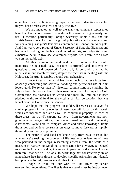other Jewish and public interest groups. In the face of daunting obstacles, they've been tireless, creative and very effective.

We are indebted as well to the many governments represented here that have come forward to address this issue with generosity and zeal. I mention particularly Foreign Secretary Robin Cook and the British Government for their insightful publications and statements and for convening last year's landmark conference in London on Nazi gold. And I am very, very proud of Under Secretary of State Stu Eizenstat and his team for setting out the historical record with rigorous objectivity and exhaustive detail in two US Government reports. Stu, I think we all owe you an incredible debt.

All this is important work and hard. It requires that painful memories be revisited, easy evasions confronted and inconvenient questions asked and answered. Above all, it demands that we be relentless in our search for truth, despite the fact that in dealing with the Holocaust, the truth is terrible beyond comprehension.

In recent years, the world has done much to retrieve facts from obscurity concerning the secretive handling and pernicious use of Nazi looted gold. No fewer than 17 historical commissions are studying the subject from the perspective of their own countries. The Tripartite Gold Commission has closed out its work; and almost \$60 million has been pledged to the relief fund for the victims of Nazi persecution that was launched at the Conference in London.

We hope that the progress on gold will serve as a catalyst for similar progress in the categories of assets we will focus on this week, which are insurance and art as well as communal property. In each of these areas, the world's experts are here - from governments and nongovernmental organizations, corporate boardrooms and university classrooms. We're here to compare views and share knowledge, frame the issues and achieve consensus on ways to move forward as rapidly, thoroughly and fairly as possible.

The historical and legal challenges vary from issue to issue, but whether we're seeking the payment of life insurance to families of those who perished in the camps, researching artwork from the walls of a museum in Warsaw, or weighing compensation for a synagogue reduced to ashes in Czechoslovakia, the moral imperative is the same. I hope, therefore, that we will be able to work together constructively in an atmosphere free from threats to develop specific principles and identify best practices for art, insurance and other topics.

I hope, as well, that our work will be driven by certain overarching imperatives. The first is that our goal must be justice, even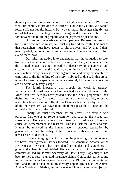though justice in this searing context is a highly relative term. We know well our inability to provide true justice to Holocaust victims. We cannot restore life nor rewrite history. But we can make the ledger slightly less out of balance by devoting our time, energy and resources to the search for answers, the return of property and the payment of just claims.

Our second imperative must be openness. Because the sands of time have obscured so much, we must dig to find the truth. This means that researchers must have access to old archives; and by that, I don't mean partial, sporadic or eventual access - I mean access in full, everywhere, now.

Our third imperative is to understand that the obligation to seek truth and act on it is not the burden of some, but of all; it is universal. As the United States has recognized by declassifying documents and creating its own presidential advisory commission on Holocaust assets, every nation, every business, every organization and every person able to contribute to the full telling of the story is obliged to do so. In this arena, none of us are mere spectators, none are neutral; for better or worse, we are all actors on history's stage.

The fourth imperative that propels our work is urgency. Remaining Holocaust survivors have reached an advanced stage in life. More than five decades have passed since the Nazis perpetrated their thefts and murders. As records are lost and memories fade, effective restitution becomes more difficult. So let us each vow that by the dawn of the new century, we have done all things possible to conclude the unfinished business of the old.

Finally, we must remember that our efforts here serve a twin purpose. Part one is to forge a common approach to the issues still surrounding Holocaust assets. Part two is to advance Holocaust education, remembrance and research. This is a task that knows no end. It must be renewed as the human race is renewed, generation by generation, so that the reality of the Holocaust is always before us and never ceases to disturb us.

It is encouraging that in the months preceding this conference, we have seen significant strides forward. The American Association of Art Museum Directors has formulated principles and guidelines to govern the handling of tabled Holocaust-Era art. An international commission led by former Secretary of State, Larry Eagleburger, has been formed to resolve unpaid insurance claims. Companies participating in that commission have agreed to establish a \$90 million humanitarian fund and to audit their books to identify unpaid Holocaust-Era claims. And at Sweden's initiative, an unprecedented inter-governmental [effort]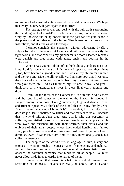to promote Holocaust education around the world is underway. We hope that every country will participate in that effort.

The struggle to reveal and deal with the full truth surrounding the handling of Holocaust-Era assets is wrenching, but also cathartic. Only by knowing and being honest about the past can we gain peace in the present and confidence in the future. That is true for nations and for institutions, and it's true as well for people.

I cannot conclude this statement without addressing briefly a subject for which I have not yet found - and will never find - exactly the right words; and that concerns my grandparents, whom I learned recently were Jewish and died along with aunts, uncles and cousins in the Holocaust.

When I was young, I didn't often think about grandparents; I just knew I didn't have any. I was an infant when I separated from them. Now I, too, have become a grandparent, and I look at my children's children and the love and pride literally overflows. I am sure now that I was once the object of such affection not only from my parents, but from those who gave them life. And as I think of my life now in my 62nd year, I think also of my grandparents' lives in those final years, months and days.

I think of the faces at the Holocaust Museum and Yad Vashem and the long list of names on the wall of the Pynkas Synagogue in Prague; among them those of my grandparents, Olga and Arnost Korbel and Ruzene Spieglova. I think of the blood that is in my family veins. Does it matter what kind of blood it is? It shouldn't; it is just blood that does its job. But it mattered to Hitler and that matters to us all; because that is why 6 million Jews died. And that is why this obscenity of suffering was visited on so many innocent, irreplaceable people - people who loved and enriched life with their warmth, their smiles and the embrace of their arms; people whose lives ended horribly and far too soon; people whose lives and suffering we must never forget or allow to diminish, even if we must, from time to time, intentionally shock our collective memory.

The peoples of the world differ in language, culture, history and choices of worship. Such differences make life interesting and rich. But as the Holocaust cries out to us, we must never allow these distinctions to obscure the common humanity that binds us all as people. We must never allow pride in us to curdle into hatred of them.

Remembering that lesson is what this effort at research and restitution of Holocaust-Era assets is really all about. For it is about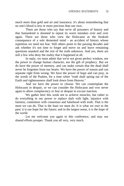much more than gold and art and insurance; it's about remembering that no one's blood is less or more precious than our own.

There are those who say that we're all prisoners of history and that humankind is doomed to repeat its worst mistakes over and over again. There are those who view the Holocaust as the freakish consequence of a sole demented mind - an accident of history whose repetition we need not fear. Still others point to the passing decades and ask whether it's not time to forget and move on and leave remaining questions unasked and the rest of the truth unknown. And yes, there are still a few who deny the reality that it happened at all.

In reply, we must admit that we're not given perfect wisdom, nor the power to change human character, nor the gift of prophecy. But we do have the power of memory, and can make certain that the dead shall never be forgotten from our hearts. We have the power of reason and can separate right from wrong. We have the power of hope and can pray, in the words of the Psalms, for a time when "truth shall spring out of the Earth and righteousness shall look down from Heaven."

And we have the power to choose. We can contemplate the Holocaust in despair, or we can consider the Holocaust and vow never again to allow complacency or fear or despair to excuse inaction.

We gather here this week not to achieve miracles, but rather to do everything in our power to replace dark with light, injustice with fairness, contention with consensus and falsehood with truth. That is the most we can do. That is the least we must do. It is what we owe to the past; it is our hope for the future; and in the largest sense, it is the hope of the world.

Let me welcome you again to this conference, and may our shared efforts prosper. Thank you all very, very much.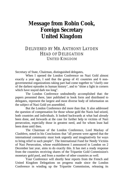# **Message from Robin Cook, Foreign Secretary United Kingdom**

#### DELIVERED BY MR. ANTHONY LAYDEN HEAD OF DELEGATION UNITED KINGDOM

Secretary of State, Chairman, distinguished delegates,

When I opened the London Conference on Nazi Gold almost exactly a year ago, I said that the group of 41 countries and 6 nongovernmental organizations taking part had come together to "clarify one of the darkest episodes in human history", and to "shine a light in corners which have stayed dark too long".

The London Conference undoubtedly accomplished that: the papers presented there, later published in book form and distributed to delegates, represent the largest and most diverse body of information on the subject of Nazi Gold yet assembled.

But the London Conference did more than that. It also addressed the question of compensation for those whose gold the Nazis had seized, both countries and individuals. It looked backwards at what had already been done, and forwards at the case for further help to victims of Nazi persecution, especially those in greatest need, and for whom least had been done until then.

The Chairman of the London Conference, Lord Mackay of Clashfern, noted in his Conclusions that "all present were agreed that the international community must look urgently and imaginatively for ways to bring relief to such people". The International Fund for Needy Victims of Nazi Persecution, whose establishment I announced in London on 2 December last year, aims to do exactly this. It has met a ready response from the countries receiving shares of the Tripartite Gold Commission's monetary gold pool, and from a number of other countries as well.

Your Conference will shortly hear reports from the French and United Kingdom Delegations on progress made since the London Conference in winding up the Tripartite Commission, releasing its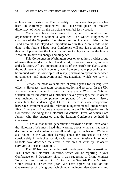archives, and making the Fund a reality. In my view this process has been an extremely imaginative and successful piece of modern diplomacy, of which all the participants can feel justly proud.

Much has been done since this group of countries and organizations met in London a year ago. The United Kingdom, as chairman of the Tripartite Commission and as Account Holder for the Fund account, has played an important role in this. More needs to be done in the future. I hope your Conference will provide a stimulus for this; and I pledge that the UK will continue to play its part as the Fund's Account Holder with energy and diligence.

This Conference in Washington goes on to address a wider group of issues than we dealt with in London: art, insurance, property, archives and education. All are important aspects of the search for clarity about the tragic events of half a century ago. I am sure your proceedings will be imbued with the same spirit of ready, practical co-operation between governments and nongovernmental organizations which we saw in London.

Perhaps the most valuable part of your agenda for its long-term effect is Holocaust education, commemoration and research. In the UK, we have been active in this area for many years. When our National Curriculum for Education was introduced seven years ago, the Holocaust was included as a compulsory component of the modern history curriculum for students aged 13 to 14. There is close cooperation between Government and the relevant nongovernmental organizations. Five of these organizations are represented in the UK Delegation to this Conference, including the Holocaust Educational Trust, of which Lord Janner, who first suggested that the London Conference be held, is Chairman.

It is vital that future generations worldwide should learn about the Holocaust. We must heed this warning about what can happen if discrimination and intolerance are allowed to grow unchecked. We have also found in the UK that learning about the Holocaust can help considerably in reducing social, racial and other tensions in schools. Schools have described the effect in this area of visits by Holocaust survivors as "near-miraculous".

The UK has been an enthusiastic participant in the International Task Force on Holocaust Education, which will be reporting to your Conference on 3 December, since it was suggested to Prime Minister Tony Blair and President Bill Clinton by the Swedish Prime Minister, Goran Persson, earlier this year. We have agreed to take on the Chairmanship of this group, which now includes also Germany and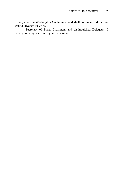Israel, after the Washington Conference, and shall continue to do all we can to advance its work.

Secretary of State, Chairman, and distinguished Delegates, I wish you every success in your endeavors.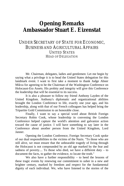## **Opening Remarks Ambassador Stuart E. Eizenstat**

### UNDER SECRETARY OF STATE FOR ECONOMIC, BUSINESS AND AGRICULTURAL AFFAIRS UNITED STATES HEAD OF DELEGATION

Mr. Chairman, delegates, ladies and gentlemen: Let me begin by saying what a privilege it is to head the United States delegation for this landmark event. I want to first take a moment to thank Judge Abner Mikva for agreeing to be the Chairman of the Washington Conference on Holocaust-Era Assets. His probity and integrity will give this Conference the leadership that will be essential to its success.

It is also a pleasure to follow my friend Anthony Layden of the United Kingdom. Anthony's diplomatic and organizational abilities brought the London Conference to life, exactly one year ago, and his leadership, along with that of our French colleagues has helped bring the Tripartite Gold Commission to an honorable close.

Finally, I want to say a special word about British Foreign Secretary Robin Cook, whose leadership in convening the London Conference helped capture the world's attention and galvanize action toward the cause of justice. I will have something to say later in the Conference about another person from the United Kingdom, Lord Janner.

Opening the London Conference, Foreign Secretary Cook spoke of our dual responsibilities to the victims of the Nazis. "To those who are still alive, we must ensure that the unbearable tragedy of living through the Holocaust is not compounded by an old age marked by the fear and sadness of poverty.... To those who died, we have a different duty  $-$  to document the facts, to gather the evidence, to locate the truth."

We also have a further responsibility  $-$  to heed the lessons of these tragic events by renewing our commitment to usher in a new and brighter century, marked by freedom and respect for the fundamental dignity of each individual. We, who have listened to the stories of the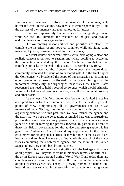survivors and have tried to absorb the memory of the unimaginable horror inflicted on the victims, now have a solemn responsibility: To be the trustees of their memory and their advocates for justice.

It is this responsibility that must serve as our guiding beacon while we seek to illuminate the tragedies of the past and provide enduring lessons for future generations.

Our overarching responsibilities and priorities are clear – to complete the historical record, however complex, while providing some measure of justice, however belated, for the survivors,

We must review our current efforts while developing a clear and realistic consensus on how to sustain, and where possible to accelerate the momentum generated by the London Conference so that we can complete our tasks by the end of this century – December 31, 1999.

A year ago at the London Conference the international community addressed the issue of Nazi-looted gold. On the final day of the Conference, we broadened the scope of our discussion to encompass other categories of assets confiscated by the Nazis. In light of the importance, complexity, and urgency of these issues, the United States recognized the need to hold a second conference, which would primarily focus on looted art and insurance policies, as well as communal property and other assets.

As the host of the Washington Conference, the United States has attempted to construct a Conference that reflects the widest possible points of view compromising all 44 governments and 13 NGOs represented here. Through continuing consultations with you and an organizing seminar held this past June, we have refined the agenda and the goals that we hope the delegations assembled here can constructively pursue this week. We are very pleased that so many countries have joined with us in moving the process forward. In particular, I want to thank the British government for the advice and strong support it has given our Conference. Also, I extend my appreciation to the French government for playing such a critical leadership role on the issues of art, insurance and archives. Let me say a few words about each of the major issues comprising the Conference agenda, and the view of the United States on how they might best be approached.

The subject of looted art is significant to the heritage and culture of all peoples – well beyond its value in monetary terms. One-fifth of all the art in Europe was uprooted during World War II and today there are countless survivors and families who still do not know the whereabouts of their priceless artworks. Today, a growing number of nations and institutions are acknowledging these claims and are demonstrating a new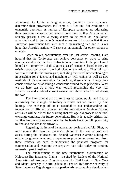willingness to locate missing artworks, publicize their existence, determine their provenance and come to a just and fair resolution of ownership questions. A number of European countries are addressing these issues in a constructive manner, none more so than Austria, which recently passed a law allowing claims to be made on Nazi-looted artworks found in the nation's federal museums. This is the first time a European government has taken such a far-reaching step and it is our hope that Austria's actions will serve as an example for other nations to emulate.

Based on our consultations over the last several months, I am hopeful that the Conference can achieve consensus on ways to bring about a speedier and far less confrontational resolution to the problem of looted art. Tomorrow I shall suggest a set of principles based closely on existing practices drawn from both sides of the Atlantic. They will call for new efforts to find missing art, including the use of new technologies in searching for evidence and matching art with claims as well as new methods of dispute resolution for deciding these claims. I urge your consideration for establishing a consensus around these principles. What we do here can go a long way toward reconciling the very real sensitivities and needs of current owners and those who lost art during the war.

The international art market must be open, stable, and free of uncertainty that it might be trading in works that are tainted by Nazi looting. The exchange of art is essential to our understanding and recognition of different cultures, and the resolution of Nazi-confiscated art issues will be critical for ensuring that this age-old process of cultural exchange continues for future generations. But, it is equally critical that families from whom art was looted by the Nazis have the full opportunity to find and reclaim their artworks.

Regarding the issue of insurance, our goals are twofold: First, we must review the historical evidence relating to the loss of insurance assets during the Holocaust era. Second, we must examine subsequent efforts by governments and companies to provide compensation. From these reviews, we need to understand the post-war programs for compensation and examine the steps we can take today to continue redressing past injustices.

The establishment of the new international Commission on Holocaust-Era Insurance Claims – inspired by leaders of the National Association of Insurance Commissioners like Neil Levin of New York and Glenn Pomeroy of North Dakota and chaired by former Secretary of State Lawrence Eagleburger – is a particularly encouraging development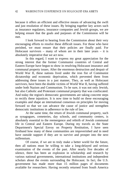because it offers an efficient and effective means of advancing the swift and just resolution of these issues. By bringing together key actors such as insurance regulators, insurance companies and Jewish groups, we are helping ensure that the goals and purposes of the Commission will be met.

I look forward to hearing from the Commission about their very encouraging efforts to resolve these difficult issues. For those who have perished, we must ensure that their policies are finally paid. For Holocaust survivors – many of whom are in their later years – it is absolutely imperative that we act now.

In this regard, I want to express my great appreciation for the strong interest that the former Communist countries of Central and Eastern Europe have begun to show in resolving Holocaust insurance and communal property issues. After the enormous destruction and despair of World War II, these nations lived under the iron fist of Communist dictatorship and economic deprivation, which prevented them from addressing these issues in a just manner, They, as well as Holocaust survivors, have been the double victims of World War II, having suffered under both Nazism and Communism. To be sure, it was not only Jewish, but also Catholic and Protestant communal property that was confiscated. And today the region's democratic governments are taking concrete steps to rectify these injustices. It is now time to build on these encouraging examples and shape an international consensus on principles for moving forward so that we can advance the cause of justice and strengthen democratic institutions in adherence to the rule of law.

At the same time, the return of Jewish communal property, such as synagogues, cemeteries, day schools, and community centers, is absolutely essential to the reemergence and rebirth of Jewish communal life in Central and Eastern Europe. During my travels as the State Department's Special Envoy on Property Restitution, I have seen firsthand how many of these communities are impoverished and in need have outside support if they are to survive and prosper into the next millennium.

Of course, if we are to truly make a better world for the future, then all nations must be willing to take a long-delayed and serious examination of the events of the past. After nearly five decades of silence, there has been an explosion in scholarship and research by various national governments, international institutions and independent scholars about the events surrounding the Holocaust. In fact, the U.S. government has made more than 15 million pages of documents available for researchers. Having recently returned from South America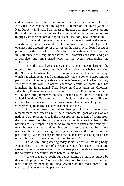and meetings with the Commission for the Clarification of Nazi Activities in Argentina and the Special Commission for Investigation of Nazi Property in Brazil, I can attest to the fact that many nations around the world are demonstrating great courage and determination in coming to grips with their actions during the Nazi quest for global domination.

Much work, however, remains to be done in setting the record straight and more steps should be taken to ensure that the fullest possible openness and accessibility of archives on the fate of Nazi looted assets is provided by the end of 1999. Only by opening these archives can we fully illuminate the long-hidden issues of Holocaust-era assets, and gain a complete and unvarnished view of the events surrounding the Holocaust.

Over the past five decades, many nations have undertaken the often painful steps of educating their citizens about their behavior during the Nazi era. Nowhere has this been more evident than in Germany, which has taken notable and commendable steps to come to grips with its past conduct. Another positive example is Sweden, which has not only strengthened its own Holocaust education efforts at home, but has launched the International Task Force on Cooperation on Holocaust Education, Remembrance and Research. The Task Force report, which I will be presenting tomorrow on behalf of the United States, Sweden, the United Kingdom, Germany and Israel, includes a declaration calling on all countries represented at the Washington Conference to join us in strengthening their Holocaust educational activities.

A commitment to strengthening Holocaust education, remembrance and research must be a fundamental goal of each of our nations. Such remembrance is the most appropriate means of taking from the dark lessons of the past a renewed vigor in ensuring that similar horrors are never repeated again. As we prepare to enter a new century, it must be our continuing determination to ensure that we fulfill our responsibilities by educating future generations on the horrors of the past-century. We must keep in mind the ancient Jewish saying that "The only truly dead are those who have been forgotten."

To be sure, our gathering today is not a decision-making body. Nonetheless, it is the hope of the United States that issue by issue and session by session we strive to craft a strong and durable consensus on the complex and sensitive issues before us this week.

As we prepare to begin our deliberations, we must be guided by this simple proposition: We can only usher in a freer and more dignified next century by penning the final chapter on the most horrific and soul-searching event of the past century.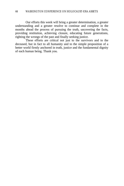Our efforts this week will bring a greater determination, a greater understanding and a greater resolve to continue and complete in the months ahead the process of pursuing the truth, uncovering the facts, providing restitution, achieving closure, educating future generations, righting the wrongs of the past and finally seeking justice.

These efforts are critical not just to the survivors and to the deceased, but in fact to all humanity and to the simple proposition of a better world firmly anchored in truth, justice and the fundamental dignity of each human being. Thank you.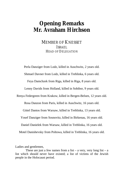## **Opening Remarks Mr. Avraham Hirchson**

MEMBER OF KNESSET ISRAEL HEAD OF DELEGATION

Perla Danziger from Lodz, killed in Auschwitz, 2 years old.

Shmuel Davner from Lodz, killed in Treblinka, 6 years old.

Feya Damchzek from Riga, killed in Riga, 8 years old.

Lenny Davids from Holland, killed in Sobibor, 9 years old.

Renya Federgreen from Krakow, killed in Bergen-Belsen, 12 years old.

Rosa Danzon from Paris, killed in Auschwitz, 16 years old.

Gittel Dantos from Warsaw, killed in Treblinka, 13 years old.

Yosef Danziger from Sosnovitz, killed in Birkenau, 16 years old.

Daniel Danielek from Warsaw, killed in Treblinka, 16 years old.

Motel Danishevsky from Poltowa, killed in Treblinka, 16 years old.

Ladies and gentlemen,

These are just a few names from a list – a very, very long list – a list which should never have existed; a list of victims of the Jewish people in the Holocaust period.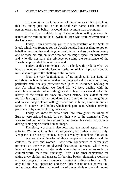If I were to read out the names of the entire six million people on this list, taking just one second to read each name, each individual person, each human being – it would take me more than two months.

In the time available today, I cannot share with you even the names of the million and half Jewish children who were exterminated in the Holocaust.

Today, I am addressing you as a representative of the State of Israel, which was founded for the Jewish people. I am speaking to you on behalf of each mother and daughter, each father and son, each and every one of those six million Jews who can no longer speak for themselves and who did not have the privilege of seeing the renaissance of the Jewish people in its historical homeland.

Today, at this Conference, we can look with pride at what we have achieved so far on the issue of restitution of Jewish property but we must also recognize the challenges still to come.

From the very beginning, all of us involved in this issue set ourselves no boundaries – neither the geographical boundaries of any particular state nor any particular area (such as insurance, banking or art). As things unfolded, we found that we were dealing with the restitution of goods stolen in the greatest robbery ever carried out in the history of the world, let alone in Jewish history. The extent of this robbery is so great that no one dares put a figure on its real magnitude, and only a few people are willing to confront the broad, almost unlimited range of countries and bodies which took part in it, whether actively, passively or by simply closing their eyes.

Today, we know for certain that Jews throughout the whole of Europe were stripped utterly bare on their way to the crematoria. They were robbed not only of the clothes on their backs, but also of any sign or distinguishing sign of their human image.

Therefore, we should also look into the moral aspect of our activity. We are not involved in vengeance, but rather a sacred duty. Vengeance is driven by instinct. Duty is driven by the feeling of mission.

We are the emissaries of those people – the elderly and the children, the men and women – who were condemned to suffer such torments on their way to physical destruction, torments which were intended to strip them of absolutely everything – their entire social or cultural worth, their total humanity. There is no other explanation for taking away clothes and glasses, for burning books, plundering works of art, destroying all cultural symbols, denying all religious freedom. Not only did the Nazi oppressors and their allies rob us of our parents and fellow Jews; they also tried to strip us of the symbols of our culture and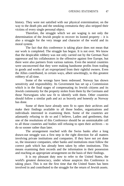history. They were not satisfied with our physical extermination; on the way to the death pits and the smoking crematoria they also stripped their victims of every single personal object.

Therefore, the struggle which we are waging is not only the determination of the Jewish people to recover its looted property – it is also a struggle for the very image and character of the world and its moral system.

The fact that this conference is taking place does not mean that our work is completed. The struggle has begun. It is not over. We know that the despicable robbery was not only carried out by the German Nazi oppressor and his collaborators in the offensive against free Europe, but there were also partners from various nations. Even the neutral countries were unconcerned that they were making handsome profits from trading in goods and works of art expropriated from their rightful owners. Even the Allies contributed, in certain ways, albeit unwittingly, to this greatest robbery of all time.

Some of the wrongs have been redressed. Norway has shown sensitivity and responsibility. Its Government has set up a Commission which is in the final stages of compensating its Jewish citizens and its Jewish community for the property stolen from them by the Germans and those Norwegians who saw fit to identify with them. Other countries should follow a similar path and act as bravely and honestly as Norway has done.

Some of them have already seen fit to open their archives and make their findings available to all those bodies, organizations and individuals interested in examining them. Some of the countries are adamantly refusing to do so and I believe, Ladies and gentlemen, that one of the resolutions of this Conference should be an unmistakable call to all those countries and bodies still refusing to open their archives – to do so sooner rather than later.

The arrangement reached with the Swiss banks after a long drawn-out struggle was a first step in the right direction for all matters involving private institutions and companies. If they have not yet done so, the insurance companies, other banks and institutions must follow the correct path which has already been taken by other institutions. This means examining their records and the information in their possession and reaching an appropriate arrangement on the basis of their findings.

It is my pleasant duty now to refer to the United States, the world's greatest democracy, under whose auspices this Conference is taking place. This is not the first time that the United States has been involved in and contributed to the struggle for the return of Jewish assets.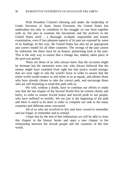With President Clinton's blessing and under the leadership of Under Secretary of State, Stuart Eizenstat, the United States has undertaken not only to contribute to the struggle on one front together with us, but also to examine the documents and the archives in the United States itself – a thorough, in-depth, responsible and honest examination, even if less pleasant aspects of its past are exposed by some of its findings. In this way, the United States has also set an appropriate and correct model for all other countries. The wrongs of the past cannot be redressed, but there must be an honest, penetrating look at the past. This is the only way to ensure that a change has, indeed, taken place in the post-war period.

There are those of us who always knew that the accounts might be dormant but the memories were not; who always believed that the money might have vanished from sight but that justice would emerge; that we were right to risk the world's favor in order to ensure that the entire world would respect us and relate to us as equals, and admire those who have already chosen to take the correct path, and encourage those who are still hesitating to tread that path with us.

We will, without a doubt, have to continue our efforts to make sure that the last chapter of the Second World War be written clearly and fairly, in order to restore Jewish honor and Jewish pride to our people, who have suffered so terribly. We are just at the beginning of the path and there is much to be done in order to complete our task in the many countries and different areas concerned.

All of us who are involved in this task have vowed to remember and not forget, to remember and to remind.

I hope that by the end of this millennium we will be able to close this chapter in the history books and open a new chapter in the relationship between the Jewish people and the countries of the free world.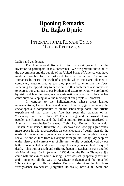# **Opening Remarks Dr. Rajko Djuric**

### INTERNATIONAL ROMANI UNION HEAD OF DELEGATION

Ladies and gentlemen,

The International Romani Union is most grateful for the invitation to participate in this conference. We are grateful above all to the government and the people of the United States of America who have made it possible for the historical truth of the around 12 million Romanies be heard, the truth of a people which the Nazis planned to completely exterminate, as too they planned to eliminate the Jews. Receiving the opportunity to participate in this conference also moves us to express our gratitude to our brothers and sisters to whom we are linked by historical fate, the Jews, whose systematic study of the Holocaust has contributed to keeping alive the memory of our people's Holocaust.

In contrast to the Enlightenment, whose most learned representatives, Denis Diderot and Jean d'Alambert, gave humanity the encyclopedia, a compendium of all the scholarship, social and artistic experience of the time, our Age has seen the creation of an "Encyclopedia of the Holocaust!" The sufferings and the anguish of my people, the Romanies, and the half a million Romanies murdered in Auschwitz, Auschwitz-Birkenau, Treblinka, Belzec, Buchenwald, Dachau, Mauthausen, Ravensbrück, Jasenovac etc., occupy significantly more space in this encyclopedia, an encyclopedia of death, than do the entries in contemporary general encyclopedias on my people's history, social life and culture from our origins through until today. My people's entire history and current way of life are literally overshadowed by our better documented and more comprehensively researched "way of death." This trail of death and suffering began in Dachau in 1934 and led via Marzahn near Berlin (where in 1936 during the Berlin Olympics [!] a camp with the cynical name "resting Place" was set up specially for Sinti and Romanies) all the way to Auschwitz-Birkenau and the so-called "Gypsy Camp" B IIe. Christian Bernadac describes in his book "Vergessener Holocaust" (Forgotten Holocaust) how 4,000 Sinti and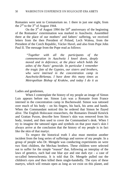Romanies were sent to Crematorium no. 1 there in just one night, from the  $2<sup>nd</sup>$  to the  $3<sup>rd</sup>$  of August 1944.

On the  $3<sup>rd</sup>$  of August 1994 the  $50<sup>th</sup>$  anniversary of the beginning of the Romanies' extermination was marked in Auschwitz. Assembled there at the place of our mothers' and fathers' suffering, we received letters from the then President of Poland, Lech Walesa, from the President of the Czech Republic, Václav Havel, and also from Pope John Paul II. The message from the Pope read as follows:

> *"Together with all the participants of the commemoration in Auschwitz I kneel down, deeply moved and in deference, at the place which holds the ashes of the Nazis' genocide. In particular I remember the tragic fate of the Gypsies, our sisters and brothers, who were interned in the concentration camp in Auschwitz-Birkenau. I have done this many times as Metropolitan Bishop of Kraków, and today I do it as*

Ladies and gentlemen,

When I contemplate the history of my people an image of Simon Luis appears before me. Simon Luis was a Romanie from France interned in the concentration camp in Buchenwald. Simon was tattooed over much of his body – on his fingers, his back, his arms and hands. When the Commandant noticed this he ordered that Simon be flayed alive. The English Holocaust researchers, the Romanies Donald Kenrick and Grattan Puxon, describe how Simon's skin was removed from his body, treated, and then used to cover the Commandant's desk. When I try to imagine the tattooed signs and symbols on that poor man's skin I always arrive at the conclusion that the history of my people is in fact like the skin of that martyr.

To respect the historical truth I also must mention another incident from the long series of sufferings and sorrow of my people. In a group of people who Dr. Mengele was conducting experiments on were two Sinti children, the Mechau brothers. These children were selected out to suffer for the simple "reason" that, following an interplay of the laws of genetics, each had one blue aye and one dark eye - a case of so-called heterochromia. It is told that Dr. Mengele pulled out the children's eyes *and* then killed them single-handedly. The eyes of these martyrs, which will remain open as long as we exist on this planet, and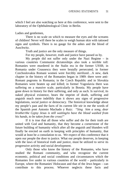which I feel are also watching us here at this conference, were sent to the laboratory of the Ophthalmological Clinic in Berlin.

Ladies and gentlemen,

There is no scale on which to measure the eyes and the screams of children! Never will there be scales to weigh human skin with tattooed signs and symbols. There is no gauge for the ashes and the blood of Auschwitz.

Truth and justice are the only measure of things.

For my people, however, truth and justice have passed us by.

My people did not suffer only under the Nazi Regime – in various countries Communist dictatorships also took a terrible toll: Romanies were murdered in the Stalin era in the former USSR; in Romania under Ceausescu they were brutally persecuted; in former Czechoslovakia Romani women were forcibly sterilized…A new, dark chapter in the history of the Romanies began in 1989: there were anti-Romani pogroms in Romania; in the Czech Republic and in Slovakia Romanies were beaten up and killed; in former Yugoslavia there was suffering on a massive scale, particularly in Bosnia. My people have gone down in history for their suffering, and only as such. Is survival, its naked physical existence, bears the imprint of death, suffering and anguish much more indelibly than it shows any signs of progressive legislations, social justice or democracy. The historical knowledge about my people's past and the facts of its current life stir in me the words of the Spanish poet Antonio Machado y Ruiz: *"Sing him a song, dear brother/the Gypsy Jesus is still waiting/to have the blood washed from his hands, to be taken from the cross!"*

If it is true that all those who suffer and die for their truth are united with God and humanity, that they become a cornerstone of the future building of humanity which after all the anguish and blunders will finally be erected on earth in keeping with principles of humanity, that would at least be a consolation to us. We expect of this conference that it open our people the door to justice. What our people deserves, in keeping with the laws of historical truth and justice, must be utilized to serve its progressive activity and social development.

Only those who know the history of the Romanies, who have studied the Romani community, and who recognize the current economic, political and social conditions and circumstances which the Romanies live under in various countries of the world – particularly in Europe, where the Romanies' Holocaust and that of the Jews began – can contribute to this process. Whoever neglects these facts and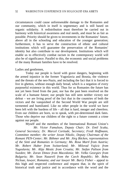circumstances could cause unforeseeable damage to the Romanies and our community, which in itself is segmentary and is still based on organic solidarity. A redistribution must therefore be carried out in harmony with historical awareness and real needs, and must be as fair as possible. Priority should be given to investments in the Romanies' future, above all in the schooling and education of the younger generation; furthermore, it has to serve the construction of ethnic and cultural institutions which will guarantee the preservation of the Romanies' identity but also contribute to our development. Institutions which will enable us to effectively combat racism in the contemporary world will also be of significance. Parallel to this, the economic and social problems of the many Romani families have to be resolved.

Ladies and gentlemen,

Today our people is faced with grave dangers, beginning with the armed injustice in the former Yugoslavia and Bosnia, the violence and the threats of the neo-Nazis, and including the fact that it is forced to live in ghettos, without enough daily bread, which is a negation of every purposeful existence in this world. Thus for us Romanies the future has not yet been freed from the past, nor has the past been resolved on the scale of a humane future; our people has still seen neither victory nor defeat – we are living proof of the fact that in the countries of both the victors and the vanquished of the Second World War people are still tormented and humiliated. Like no other people in the world we have been left with the burdens of life – all that is hard, meager and cheerless. Even our children are born, so to speak, with pre-determined dark fates. Those who deprive our children of the right to a future commit a crime against our people.

Myself and the members of the International Romani Union's *Mr. Victor Famulson, Deputy Chair; Dr. Emil Scuka, General Secretary; Dr. Marcel Cortiade, Secretary; Fredi Hoffmann, Committee member; the writer Jovan Nikolic, Deputy Chairman of the Romani PEN-Center; Mr. Böhmer and Mr. Jörg Böcken, representatives of the Sinti and Romanies in Germany; Ms. Rosa Martl from Austria; Mr. Robert Huber from Switzerland; Mr. Milorad Vujicic from Yugoslavia; Mr. Alija Mestic from Croatia; Mr. Stefan Palison from Sweden; Mr. Zoran Dimov from Macedonia; Mr. Velko Georgiev from Bulgaria; Mr. Sean Nazareli from the Czech Republic; Mr. Bobu Nicloae, lawyer, Romania; and our lawyer Mr. Barry Fisher – appeal to* this high and respected conference and request that, in the spirit of historical truth and justice and in accordance with the word and the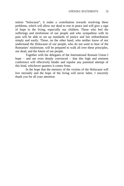notion "holocaust", it make a contribution towards resolving these problems, which will allow our dead to rest in peace and will give a sign of hope to the living, especially our children. Those who feel the sufferings and misfortune of our people and who sympathize with its pain will be able to set up standards of justice and fair redistribution simply and easily. Those, on the other hand, who neither know of nor understand the Holocaust of our people, who do not *want* to hear of the Romanies' misfortune, will be prepared to walk all over these principles, our dead, and the future of our people.

Together with the delegates of the International Romani Union I hope – and am even deeply convinced – that this high and eminent conference will effectively hinder and repulse any potential attempt of this kind, whichever quarters it comes from.

In the hope that the memory of the victims of the Holocaust will live eternally and the hope of the living will never falter, I sincerely thank you for all your attention.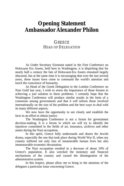## **Opening Statement Ambassador Alexander Philon**

### **GREECE** HEAD OF DELEGATION

As Under Secretary Eizenstat stated in the First Conference on Holocaust Era Assets, held here in Washington, it is dispiriting that for nearly half a century the fate of Holocaust-Era Assets remained largely obscured, but at the same time it is encouraging that over the last several years, these issues have come to command the world's attention and touch the conscience of humanity.

As Head of the Greek Delegation to the London Conference on Nazi Gold last year, I wish to stress the importance of these forums in achieving a just solution to these problems. I certainly hope that the Washington Conference will produce similar results in the form of a consensus among governments and that it will inform those involved internationally on the size of the problem and the best ways to deal with its many different aspects.

We now have the opportunity to see clearly and establish the facts in an effort to obtain justice.

The Washington Conference is not a forum for government decision-making. It is a forum in which we will try to identify the injustices committed in the fields of art, insurance, archives and other assets during the Nazi occupation.

In this spirit, Greece fully understands and shares the Jewish drama, especially the one that took place during World War II, when my country suffered not only loss of innumerable human lives but also immeasurable economic devastation.

The Nazi occupation resulted in a decrease of about 10% of Greece's population. It also wrecked the monetary and financial mechanisms of the country and caused the disintegration of the administrative system.

In this respect, please allow me to bring to the attention of the delegates a particular issue concerning Greece.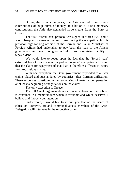During the occupation years, the Axis exacted from Greece contributions of huge sums of money. In addition to direct monetary contributions, the Axis also demanded large credits from the Bank of Greece.

The first "forced loan" protocol was signed in March 1942 and it was subsequently amended several times during the occupation. In this protocol, high-ranking officials of the German and Italian Ministries of Foreign Affairs had undertaken to pay back the loan to the Athens government and began doing so in 1943, thus recognizing liability to repay a debt.

We would like to focus upon the fact that the "forced loan" extracted from Greece was not a part of "regular" occupation costs and that the claim for repayment of that loan is therefore different in nature from reparations claims.

With one exception, the Bonn government responded to all war claims placed and substantiated by countries, after German unification. These responses constituted either some kind of material compensation or at least a beginning of negotiations on the claims.

The only exception is Greece.

The full Greek argumentation and documentation on the subject is contained in a memorandum which is available and which deserves, I believe and I hope, your attention.

Furthermore, I would like to inform you that on the issues of education, archives, art and communal assets, members of the Greek Delegation will intervene in the respective panels.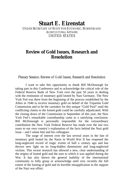## **Stuart E. Eizenstat**

UNDER SECRETARY OF STATE FOR ECONOMIC, BUSINESS AND AGRICULTURAL AFFAIRS UNITED STATES

## **Review of Gold Issues, Research and Resolution**

Plenary Session: Review of Gold Issues, Research and Resolution

I want to take this opportunity to thank Bill McDonough for taking part in this Conference and to acknowledge the critical role of the Federal Reserve Bank of New York over the past 50 years in dealing with the restitution of monetary gold looted by Nazi Germany. The New York Fed was there from the beginning of the process established by the Allies in 1946 to receive monetary gold on behalf of the Tripartite Gold Commission and to be the caretaker for this unique "Gold Pool" until the conflicting claims to the looted gold could be carefully adjudicated. With the closing down of the Commission in September of this year, the New York Fed's remarkable custodianship came to a satisfying conclusion. Bill McDonough is personally responsible for the extraordinary contribution the New York Federal Reserve has made over the last two years to our own country's explanation of the facts behind the Nazi gold issue – and I salute him and his colleagues.

The surge of interest over the last several years in the fate of monetary gold looted by the Nazis in World War II has reopened the long-neglected record of tragic events of half a century ago and has thrown new light on its long-hidden dimensions and long-neglected victims. This recent research has allowed a new, clear understanding of the origins of looted gold and the uses to which it was applied during the War. It has also shown the general inability of the international community to fully grasp or acknowledge until very recently the full extent of the looting of gold and its horrible misapplication in the support of the Nazi war effort.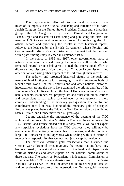This unprecedented effort of discovery and rediscovery owes much of its impetus to the original leadership and initiative of the World Jewish Congress. In the United States President Clinton and a bipartisan group in the U.S. Congress, led by Senator D'Amato and Congressman Leach, urged and insisted on establishing and publishing the facts. The massive U.S. Government interagency project for reviewing the U.S. official record and publishing the results in two historical reports, followed the lead set by the British Government whose Foreign and Commonwealth Ministry's chief historian Gill Bennett took the first step with a path-finding study released in September 1996.

In the course of 1996 and 1997, other governments, those of nations who were occupied during the War as well as those who remained neutral or non-belligerent, joined the international effort at discovery and disclosure. Now there are 17 national commissions, and other nations are using other approaches to sort through their records.

The redrawn and refocused historical picture of the scale and nature of Nazi looting of gold is emerging from this enormous body of recent work. Not all of the Commissions and other national historical investigations around the world have examined the origins and fate of the Nazi regime's gold. Research into the fate of Holocaust victims' assets in bank accounts, insurance, real property, art, and other cultural collections and possessions is still going forward even as we approach a more complete understanding of the monetary gold question. The painful and complicated record of Nazi looting of the monetary gold of occupied Europe was placed before the Tripartite Gold Commission by the United States, Britain, and France more than 40 years ago.

Let me underline the importance of the opening of the TGC archives at the French Foreign Ministry in France at the same time as the U.S., Britain, and France closed out this body. While we do not expect any surprising revelations from the TGC archives, they will now be available in their entirety to researchers, historians, and the public at large. Full transparency and openness when dealing with such historical records is a responsibility that we must not just accept but welcome.

The extensive wartime gold transactions that sustained the German war effort until 1945 involving the neutral nations have only become broadly understood as a result of the hard and dispassionate work of historians and other experts on the national commissions of these neutrals. The report of Switzerland's Independent Commission of Experts in May 1998 made extensive use of the records of the Swiss National Bank as well as those of other nations to develop its detailed and comprehensive picture of the intersection of German gold, however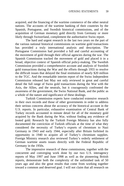acquired, and the financing of the wartime commerce of the other neutral nations. The accounts of the wartime banking of their countries by the Spanish, Portuguese, and Swedish historical commissions, and of the acquisition of German monetary gold directly from Germany or more likely through Switzerland, complement the authoritative Swiss report.

The hard and urgent research in the last two years on the part of the various national historical commissions on wartime gold transactions has provided a truly international analysis and description. The Portuguese Commission had provided a full and careful accounting of the movement of gold through their official agencies during the war. The Spanish Commission tracked the movement of gold and placed it in a broad, objective context of Spanish official policy-making. The Swedish Commission provided a comprehensive account and analysis of Swedish gold transactions during the War and the efforts through 1955 to resolve the difficult issues that delayed the final restitution of nearly \$20 million to the TGC. And the remarkable interim report of the Swiss Independent Commission released last May not only reviewed in great and careful detail the full range of Swiss gold transactions during the War with the Axis, the Allies, and the neutrals, but it courageously confronted the awareness of the government, the Swiss National Bank, and the public as a whole of the nature and significance of these dealings.

Turkish Commission experts have conducted extensive research in their own records and those of other governments in order to address their serious concerns about the accuracy of the historical account in the U.S. reports. In particular, exhaustive examination of Central Bank of Turkey records accounted in minute detail for all of the monetary gold acquired by the Bank during the War, without finding any evidence of looted gold. Research by the Turkish Foreign Ministry has also fully documented the conviction of Turkish officials at the time of what they considered the necessity of Turkey's exports of chromium to Nazi Germany in 1943 and early 1944, especially after Britain forfeited its opportunity in 1940 to acquire all of Turkey's chromium supplies. Foreign Ministry research also reviewed Turkey's orderly settlement of German wartime assets issues directly with the Federal Republic of Germany in the 1950s.

The impressive research of these commissions, together with the concurrent and converging work done by our two U.S. interagency reports of May 1997 and June 1998 as well as the pioneering British reports, demonstrate both the complexity of the unfinished task of 50 years ago and also the great results that come from working together toward a common and deserved goal. I will not claim that all research on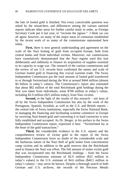the fate of looted gold is finished. Not every conceivable question was asked by the researchers, and differences among the various national reports indicate other areas for further careful study in order, as Foreign Secretary Cook put it last year, to "recreate the jigsaw." I think we can all agree, however, on many of the major areas of consensus established by the recent work of so many of the commissions represented here today.

**First,** there is now general understanding and agreement on the scale of the Nazi looting of gold from occupied Europe, both from central banks and from individual victims. Moreover, our commissions have cumulatively demonstrated that the Nazi regime used this loot deliberately and ruthlessly to finance its acquisition of supplies essential to its capacity to wage war. The research of the various commissions and the review of our U.S. records have confirmed the nature and scale of German looted gold in financing this crucial wartime trade. The Swiss Independent Commission put the total amount of looted gold transferred to or through Switzerland during the War at around \$444 million (almost \$4 billion in today's values). The Commission's report also estimated that about \$82 million of the total Reichsbank gold holdings during the War was taken from individuals, some \$700 million in today's values, including \$2.9 million (\$25 million today), from Nazi victims.

**Second,** in the light of the results of this research – not least of all by the Swiss Independent Commission but also by the work of the Portuguese, Spanish, Swedish, as well as the U.S. and British reports – the central role of Swiss institutions, especially the Swiss National Bank, in managing the financing and facilitating wartime commerce in Europe by receiving Nazi-looted gold and converting it to hard currencies is now fully established and accepted. As Dr. Berger, in his preface to the Swiss Independent Commission report, expressed it best: "Switzerland lay at the heart of the gold transactions."

**Third,** the considerable evidence in the U.S. reports and the comprehensive review of victim gold in the report of the Swiss Independent Commission leave no doubt of the considerable scale and the barbarous nature of the Nazi theft of gold stolen from concentration camp victims and its addition to the gold reserves that the Reichsbank used to finance the Nazi war effort. The full amount of stolen victim gold that was incorporated into the Reichsbank holdings – from the Swiss Independent Commission estimate of \$2.9 million (\$25 million in today's values) to the U.S. estimate of \$4.6 million (\$40.5 million in today's values) – may never be known. Despite a thorough search in both German and U.S. archives, the records of the Precious Metals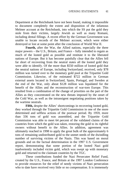Department at the Reichsbank have not been found, making it impossible to document completely the extent and disposition of the infamous Melmer account at the Reichsbank, into which the SS put the gold they stole from their victims, largely Jewish as well as many Romani, including dental fillings. A recent effort by the German Government was unable to locate records of the Melmer account, which were either destroyed or lost at some point after the conclusion of World War II.

**Fourth,** after the War, the Allied nations, especially the three major powers – the U.S., Britain, and France – fully intended to regain as much of the looted gold as possible and restitute it to the liberated nations of Europe. But it has become painfully clear that the Allies fell far short of recovering from the neutral states all the looted gold they were able to identify. Of the more than \$550 million of looted gold that the neutral nations of Europe, including Switzerland, received, only \$78 million was turned over to the monetary gold pool at the Tripartite Gold Commission. Likewise, of the estimated \$722 million in German external assets located in Switzerland, Spain, Portugal, and Sweden at the end of the War, only about \$128 million was liquidated for the benefit of the Allies and the reconstruction of war-torn Europe. This resulted from a combination of the change of priorities on the part of the Allies as they concentrated on the new threats imposed by the onset of the Cold War, as well as the intransigent negotiating positions taken by the wartime neutrals.

**Fifth,** despite the Allies' shortcomings in recovering looted gold, they worked through the Tripartite Gold Commission in one of the more determined and selfless actions of the postwar period. By 1959, more than 336 tons of gold was assembled, and the Tripartite Gold Commission was able to meet 64 percent of the validated claims of the countries from which the gold was taken, restoring the gold to its rightful owners without benefit to the Allies. In addition, agreement was ultimately reached in 1998 to apply the great bulk of the approximately 6 tons of remaining undistributed gold to the unmet needs of the dwindling number of surviving victims of the Nazis. This was based on moral grounds and on the factual determination in the 1997 U.S. Government report, demonstrating that some portion of the looted Nazi gold inadvertently included victim gold, which was swept up with monetary gold and returned to the claimant countries by the TGC.

These contributions funded the Nazi Persecutee Relief Fund, created by the U.S., France, and Britain at the 1997 London Conference to provide resources for the relief of needy victims of Nazi persecution who to date have received very little or no compensation. It is immensely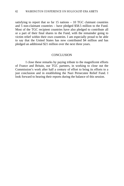satisfying to report that so far  $15$  nations  $-10$  TGC claimant countries and 5 non-claimant countries – have pledged \$58.5 million to the Fund. Most of the TGC recipient countries have also pledged to contribute all or a part of their final shares to the Fund, with the remainder going to victim relief within their own countries. I am especially proud to be able to say that the United States has now contributed \$4 million and has pledged an additional \$21 million over the next three years.

#### **CONCLUSION**

I close these remarks by paying tribute to the magnificent efforts of France and Britain, our TGC partners, in working to close out the Commission's work after half a century of effort to bring its efforts to a just conclusion and in establishing the Nazi Persecutee Relief Fund. I look forward to hearing their reports during the balance of this session.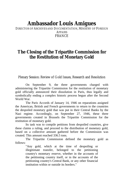# **Ambassador Louis Amigues**

DIRECTOR OF ARCHIVES AND DOCUMENTATION, MINISTRY OF FOREIGN AFFAIRS FRANCE

## **The Closing of the Tripartite Commission for the Restitution of Monetary Gold**

Plenary Session: Review of Gold Issues, Research and Resolution

On September 9, the three governments charged with administering the Tripartite Commission for the restitution of monetary gold officially announced their dissolution in Paris, thus legally and symbolically ending a complex historic process begun after the Second World War.

The Paris Accords of January 14, 1946 on reparations assigned the American, British and French governments to return to the countries the despoiled monetary gold that was put in their Central Banks by the Nazi regime. Accordingly, on September 27, 1946, these three governments created in Brussels the Tripartite Commission for the restitution of monetary gold.

Its task was to compile petitions from despoiled countries, give these claims a ruling, and proceed to the distribution of monetary gold, based on a collective amount gathered before the Commission was created. This amount reached 336.5 tons.

The Tripartite Commission defined the monetary gold as follows:

> "Any gold, which at the time of despoiling or illegitimate transfer, belonged to the petitioning country's monetary reserve, whether in the accounts of the petitioning country itself, or in the accounts of the petitioning country's Central Bank, or any other financial institution within or outside its borders."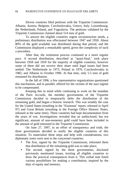Eleven countries filed petitions with the Tripartite Commission: Albania, Austria, Belgium, Czechoslovakia, Greece, Italy, Luxembourg, the Netherlands, Poland, and Yugoslavia. The petitions validated by the Tripartite Commission claimed about 514 tons of gold.

To answer the eligible countries urgent reconstruction needs, a preliminary distribution was effectuated between 1947 and 1950. About 80% of the gold available was distributed during that period, and the Commission displayed a remarkable speed, given the complexity of such a procedure.

After that, the restitution process continued at a more regular pace. A second distribution, described as "quasi-final," took place between 1958 and 1959 for the majority of eligible countries, however some of them did not receive their share until legal issues had been settled: The Netherlands in 1973, Poland in 1976, Czechoslovakia in 1982, and Albania in October 1996. At that time, only 5.5 tons of gold remained for distribution.

In the fall of 1996, a few representative organizations questioned this mechanism, and in parallel, offered for the victims of the nazi regime to be compensated.

Keeping this in mind while continuing to work on the mandate of the Paris Accords, the member governments of the Tripartite Commission decided to temporarily defer the distribution of the remaining gold, and began a historic research. This was notably the case for the United States (resulting in the "Eizenstat" report, released in April 97) and Great Britain (resulting in the Foreign Office Historic Notes, released at the same time). These countries had kept documentation from the years of war. Investigations revealed that an undisclosed, but not significant, amount of non-monetary gold could have been included in the amount of gold entrusted to the Tripartite Commission.

On June 27, 1997, in an effort of transparency and truth, the three governments decided to notify the eligible countries of this situation. To materialize these steps and help with considerations, two diplomatic notes were sent to the concerned countries:

- The first, signed by the Tripartite Commission, informed them that distribution of the remaining gold was to take place;
- The second, signed by the three governments, disclosed previously mentioned issues, inviting all eligible countries to draw the practical consequences from it. This verbal note listed various possibilities for making a contribution, inspired by the duty of equity and memory.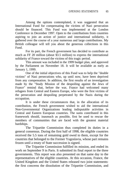Among the options contemplated, it was suggested that an International Fund for compensating the victims of Nazi persecution should be financed. This Fund was implemented at the London Conference in December 1997. Open to the contributions from countries aspiring to join an action of justice and international solidarity, it gathered over the course of a year numerous and large contributions. My British colleague will tell you about the generous collections in this Fund.

For its part, the French government has decided to contribute as much as FF 20 million (about \$3.5 million) to express the international solidarity of France toward the victims of this tragic period.

This amount was included in the 1999 budget plan, and approved by the Parliament on November 18. It will be available as early as January 1, 1999.

One of the initial objectives of this Fund was to help the "double victims" of Nazi persecutions who, up until now, have been deprived from any compensation. In addition, the first results of an investigation made by the "Study Mission of the despoiling against the Jews of France" remind that, before the war, France had welcomed many refugees from Central and Eastern Europe, who were the first victims of the persecution and despoiling perpetrated by the Nazis during the occupation.

It is under these circumstances that, in the allocation of its contribution, the French government wished to aid the international Non-Governmental Organizations leading indisputable activities in Central and Eastern European countries. The sums contributed in this framework should, inasmuch as possible, first be used to rescue the members of communities that are faced with the greatest material hardships.

The Tripartite Commission thus completed its duties in a general consensus. During the first half of 1998, the eligible countries received the 5.5 tons of remaining gold owed to them, except for the countries that belonged to the Former Yugoslavia, whose part remains frozen until a treaty of State succession is signed.

The Tripartite Commission fulfilled its mission, and ended its work on September 9 in Paris. It submitted its final report to the three governments. This report was also presented on that same day to the representatives of the eligible countries. At this occasion, France, the United Kingdom and the United States released two joint statements: the first concerns the dissolution of the Tripartite Commission, and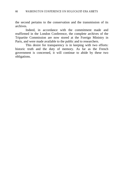the second pertains to the conservation and the transmission of its archives.

Indeed, in accordance with the commitment made and reaffirmed in the London Conference, the complete archives of the Tripartite Commission are now stored at the Foreign Ministry in Paris, and were made available to the public and to researchers.

This desire for transparency is in keeping with two efforts: historic truth and the duty of memory. As far as the French government is concerned, it will continue to abide by these two obligations.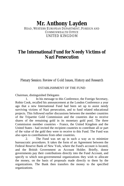# **Mr. Anthony Layden**

HEAD, WESTERN EUROPEAN DEPARTMENT, FOREIGN AND COMMONWEALTH OFFICE UNITED KINGDOM

## **The International Fund for Needy Victims of Nazi Persecution**

Plenary Session: Review of Gold Issues, History and Research

### ESTABLISHMENT OF THE FUND

Chairman, distinguished Delegates

1. In his message to this Conference, the Foreign Secretary, Robin Cook, recalled his announcement at the London Conference a year ago that a new International Fund had been set up to assist needy surviving victims of Nazi persecution, and to fund related educational projects. This followed earlier discussions between the member countries of the Tripartite Gold Commission and the countries due to receive shares of the remaining gold in its monetary gold pool. The three Commission member countries - France, the United Kingdom and the United States - had invited the recipient countries to contribute all or part of the value of the gold they were to receive to this Fund. The Fund was also open to contributions from other countries.

2. The Fund was set up in such a way as to minimize bureaucratic procedures. It takes the form of an Agreement between the Federal Reserve Bank of New York, where the Fund's account is located, and the British Government as Account Holder. Briefly, donor governments pay their contributions directly into the Fund Account, and specify to which non-governmental organizations they wish to allocate the money, on the basis of proposals made directly to them by the organizations. The Bank then transfers the money to the specified organizations.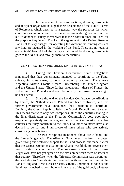3. In the course of these transactions, donor governments and recipient organizations signal their acceptance of the Fund's Terms of Reference, which describe in a general way the purposes for which contributions are to be used. There is no central auditing mechanism: it is left to donors to satisfy themselves that their contributions are used for the purposes they intend. Thanks to the agreement of the Federal Reserve Bank not to levy charges for operating the Account, no running costs of any kind are incurred in the working of the Fund. There are no legal or accountants' fees. All of the money contributed by donor governments goes to the NGOs, and through them to the victims.

### CONTRIBUTIONS PROMISED UP TO 19 NOVEMBER 1998

4. During the London Conference, seven delegations announced that their governments intended to contribute to the Fund, subject, in some cases, to legal or other procedures. These were Argentina, Austria, Croatia, Greece, Luxembourg, the United Kingdom and the United States. Three further delegations - those of France, the Netherlands and Poland - said contributions by their governments might be considered.

5. Since the end of the London Conference, contributions by France, the Netherlands and Poland have been confirmed, and five further governments have announced their intention to contribute: Belgium, the Czech Republic, Italy, the Slovak Republic and Sweden. This means that with only two exceptions, all of the countries sharing in the final distribution of the Tripartite Commission's gold pool have responded positively to the suggestion by the Commission member countries that they contribute to the Fund. Five other countries have also decided to do so, and I am aware of three others who are actively considering contributions.

6. The two exceptions mentioned above are Albania and the former Yugoslavia. The Albanian Government has from the outset given strong and welcome support to the Fund process, but made it clear that the serious economic situation in Albania was likely to prevent them from making a contribution. The successor states of the former Yugoslavia have not yet agreed on the division between them of assets of that country. Therefore, when the Tripartite Commission was wound up, the gold due to Yugoslavia was retained in its existing account at the Bank of England. One successor state, Croatia, undertook as soon as the Fund was launched to contribute to it its share of the gold pool, whatever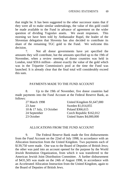that might be. It has been suggested to the other successor states that if they were all to make similar undertakings, the value of this gold could be made available to the Fund in advance of agreement on the wider question of dividing Yugoslav assets. We await responses. This morning we have been told by Ambassador Rupel, the leader of the Slovenian delegation that Slovenia has also decided to contribute its share of the remaining TGC gold to the Fund. We welcome this decision.

7. Not all donor governments have yet specified the amounts they will contribute, but the amounts specified up to the 19th of November, when a review meeting of donor countries was held in London, total \$59.6 million - almost exactly the value of the gold which was in the Tripartite Commission's pool at the time the Fund was launched. It is already clear that the final total will considerably exceed this sum.

### PAYMENTS MADE TO THE FUND ACCOUNT

8. Up to the 19th of November, five donor countries had made payments into the Fund Account at the Federal Reserve Bank, as follows:

| United Kingdom \$1,647,000 |
|----------------------------|
| Sweden \$1,014,055         |
| Poland \$366,615           |
| Czech Republic \$162,012   |
| United States \$4,000,000  |
|                            |

### ALLOCATIONS FROM THE FUND ACCOUNT

9. The Federal Reserve Bank made the first disbursements from the Fund Account on the 22nd of July 1998, in accordance with an Allocation Instruction from the United Kingdom. Two payments each of \$139,750 were made. One was to the Board of Deputies of British Jews; the other was paid into an account opened for the purpose by the World Jewish Restitution Organization, from which it was transferred to the American Jewish Joint Distribution Committee. A further disbursement of \$431,505 was made on the 24th of August 1998, in accordance with an Accelerated Allocation Instruction from the United Kingdom, again to the Board of Deputies of British Jews.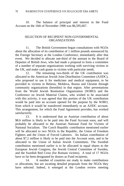10. The balance of principal and interest in the Fund Account on the 16th of November 1998 was \$6,595,667.

### SELECTION OF RECIPIENT NON-GOVERNMENTAL ORGANIZATIONS

11. The British Government began consultations with NGOs about the allocation of its contribution of 1 million pounds announced by the Foreign Secretary at the London Conference, immediately after that event. We decided to allocate one-third of the amount to the Board of Deputies of British Jews, who had made a proposal to form a committee of a number of separate organizations working with surviving victims in the UK, and make cash grants to victims with particular needs.

12. The remaining two-thirds of the UK contribution was allocated to the American Jewish Joint Distribution Committee (AJJDC), who proposed to use it for medicines and medical equipment, to be provided to victims in Belarus, Moldova, Russia and Ukraine through community organizations (hesedim) in that region. After presentations from the World Jewish Restitution Organization (WJRO) and the Conference on Jewish Material Claims, who wished to be associated with this activity, it was agreed that this portion of the UK contribution would be paid into an account opened for the purpose by the WJRO, from which it would be transferred immediately to an AJJDC account. This arrangement, for which the Fund Agreement provides, has worked satisfactorily.

13. It is understood that an Austrian contribution of about \$8.6 million is likely to be paid into the Fund Account soon, and will probably be allocated to the Austrian National Fund for Victims of National Socialism. The Czech Republic contribution mentioned earlier will be allocated to two NGOs in the Republic, the Union of Freedom Fighters and the Union of Forced Laborers. An Italian contribution of about \$7.2 million is likely to be paid into the Account soon, and to be allocated to the Union of Italian Jewish Committees. The Swedish contribution mentioned earlier is to be allocated in equal shares to the European Jewish Congress, the Jewish Central Committee of Sweden, and the Swedish Red Cross (for Romani victims). A total of 17 NGOs have so far been designated by donors as Fund recipients.

14. A number of countries are ready to make contributions or allocations, but are awaiting detailed proposals from the NGOs they have selected. Indeed, it emerged at the London review meeting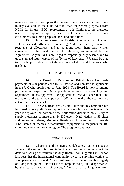mentioned earlier that up to the present, there has always been more money available in the Fund Account than there were proposals from NGOs for its use. NGOs represented at this Conference are therefore urged to respond as quickly as possible when invited by donor governments to submit proposals for Fund allocations.

15. In a few cases, the British Government as Account Holder has had difficulty in contacting NGOs selected by donors as recipients of allocations, and in obtaining from them their written agreement to the Fund Terms of Reference, as required by the Agreement. Again, NGOs are urged to respond quickly when asked by us to sign and return copies of the Terms of Reference. We shall be glad to offer help or advice about the operation of the Fund to anyone who needs it.

### HELP SO FAR GIVEN TO VICTIMS

16. The Board of Deputies of British Jews has made payments of 400 pounds each to 600 Jewish and non-Jewish applicants in the UK who applied up to June 1998. The Board is now arranging payments in respect of 166 applications received between July and September. It has approved 100 applications received since then, and estimate that the total may approach 1000 by the end of the year, when a cut-off date has been set.

17. The American Jewish Joint Distribution Committee has informed us in a preliminary report that between July and September this year it deployed the portion of their allocation disbursed on 22 July to supply medicines to more than 14,500 elderly Nazi victims in 55 cities and towns in Belarus, Moldova, Russia and Ukraine, and to provide 4,120 items of medical rehabilitative equipment to recipients in 106 cities and towns in the same region. The program continues.

### **CONCLUSION**

18. Chairman and distinguished delegates, I am conscious as I come to the end of this presentation that a great deal more remains to be done to discharge effectively the duty Robin Cook suggested in London last year that the international community owed to surviving victims of Nazi persecution. He said: "...we must ensure that the unbearable tragedy of living through the Holocaust is not compounded by an old age marked by the fear and sadness of poverty." We are still a long way from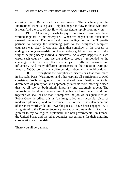ensuring that. But a start has been made. The machinery of the International Fund is in place. Help has begun to flow to those who need it most. And the pace of that flow will accelerate rapidly from now on.

19. Chairman, I wish to pay tribute to all those who have worked together in this enterprise. When we began it the difficulties seemed immense. The legal and moral obligation on the Tripartite partners to convey the remaining gold to the designated recipient countries was clear. It was also clear that somehow in the process of ending our long stewardship of the monetary gold pool we must find a way of helping needy individual survivors. As always happens in such cases, each country - and we are a diverse group - responded to the challenge in its own way. Each was subject to different pressures and influences. And many different approaches to the situation were put forward. NGOs too had many different ideas about what should be done.

20. Throughout the complicated discussions that took place in Brussels, Paris, Washington and other capitals all participants showed consistent flexibility, goodwill, and a shared determination not to let differences of perception and approach prevent us from meeting a need that we all saw as both highly important and extremely urgent. The International Fund was the outcome: together we have made it work and together we shall ensure that it completes the job we designed it to do. Robin Cook described this as "an imaginative and successful piece of modern diplomacy," and so of course it is. For me, it has also been one of the most worthwhile and rewarding tasks I have been engaged in. I am grateful to the Foreign Secretary for entrusting me with it. And I am grateful to my colleagues, diplomatic and non-governmental, in France, the United States and the other countries present here, for their unfailing co-operation and friendship.

Thank you all very much.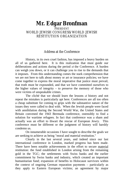# **Mr. Edgar Bronfman**

### PRESIDENT WORLD JEWISH CONGRESS/WORLD JEWISH RESTITUTION ORGANIZATION

### Address at the Conference

History, in its own cruel fashion, has imposed a heavy burden on all of us gathered here. It is this realization that must guide our deliberations and actions during the period of the Conference. A burden can weigh you down, or it can challenge you to rise to the demands that it imposes. From this understanding comes the stark comprehension that we are not here to talk about money or art or insurance policies; we have come together to express the moral imperative that justice must prevail, that truth must be expounded, and that we have committed ourselves to the higher values of integrity – to preserve the memory of those who were victims of unspeakable crimes.

The cliché that we should learn the lessons of history and not repeat the mistakes is particularly apt here. Conferences are all too often a cheap substitute for coming to grips with the substantive nature of the issues they were called to deal with. When the Jewish people were faced with annihilation during the Second World War, the United States and Britain convened the 1943 Bermuda conference, ostensibly to find a solution for wartime refugees. In fact that conference was a sham and actually was an effort to thwart the rescue of European Jewry. This conference must be different or the judgment of history will harshly condemn us.

On innumerable occasions I have sought to describe the goals we are seeking to achieve as being "moral and material restitution."

Clearly in the last several years, and indeed since our last international conference in London, marked progress has been made. There have been notable achievements in the effort to secure material restitution: the fund established in London arising from the remaining gold in the TGC; the settlements with Swiss banks and the earlier commitment by Swiss banks and industry, which created an important humanitarian fund; expansion of benefits to Holocaust survivors within the context of ongoing German reparation payments – particularly as they apply to Eastern European victims; an agreement by major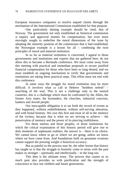European insurance companies to resolve unpaid claims through the mechanism of the International Commission established for that purpose.

One particularly shining example should be cited, that of Norway. The government not only established an historical commission of inquiry and approved monies for compensation, but even more movingly sought to underline the moral dimensions of the issue by adopting the minority position of the commission that it had established; the Norwegian example is a lesson for all – combining the twin principles of moral and material restitution.

In so far as material restitution is concerned, I appeal to those governments and institutions and experts that are gathered here; do not allow this to become a Bermuda conference. We must come away from this meeting with practical and immediate proposals to secure justified financial compensation for those who have been so long denied, and we must establish an ongoing mechanism to verify that governments and institutions are taking these practical steps. This effort must not end with this conference.

In some ways the struggle for moral restitution may be more difficult. It involves what we call in Hebrew "heshbon nefesh" – searching of the soul. This is not a challenge only to the neutral countries; this is a challenge which must be confronted by the Allies, the former Axis states, the bystanders, the churches, industrial concerns, bankers and Jewish people.

Our inescapable obligation is to set forth the record of events as they happened, without embellishment, without self-serving alteration, and with brutal honesty. We owe this first and most of all to the memory of the victims, because that is what we are striving to achieve – the preservation of memory and the power of its piercing truthfulness.

For those nations and those peoples, or those institutions for which the critical examination of this historic period will give rise to dark moments of unpleasant realities, the answer is – there is no choice. We cannot know where to go or where we are going, unless we know where we have come from. And foundations built on gossamer evasions cannot support the pressing weight of historical accuracy.

But as painful as the process may be, the other lesson that history has taught us is that the struggle to honestly come to terms with the past makes us stronger – spiritually and intellectually – in the long run.

This then is the ultimate irony. The process that causes us so much pain also provides us with purification and the strength of conscience to face our children and future generations.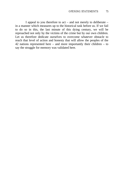I appeal to you therefore to act – and not merely to deliberate – in a manner which measures up to the historical task before us. If we fail to do so in this, the last minute of this dying century, we will be reproached not only by the victims of the crime but by our own children. Let us therefore dedicate ourselves to overcome whatever obstacle to reach that level of action and honesty that will allow the peoples of the 42 nations represented here – and more importantly their children – to say the struggle for memory was validated here.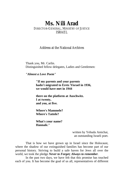## **Ms. Nili Arad**

### DIRECTOR-GENERAL, MINISTRY OF JUSTICE ISRAEL

### Address at the National Archives

Thank you, Mr. Carlin. Distinguished fellow delegates, Ladies and Gentlemen:

*"Almost a Love Poem"*

**"If my parents and your parents hadn't migrated to Eretz Yisrael in 1936, we would have met in 1944**

**there on the platform at Auschwitz. I at twenty, and you, at five.**

**Where's Mammele? Where's Tattele?**

**What's your name? Hannale."**

> written by Yehuda Amichai, an outstanding Israeli poet.

That is how we have grown up in Israel since the Holocaust, where the shadow of our extinguished families has become part of our personal history. Striving to build a safe haven for Jews all over the world, we took the pledge *Never to Forget; Always to remember.*

In the past two days, we have felt that this promise has touched each of you. It has become the goal of us all, representatives of different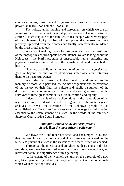countries, non-govern mental organizations, insurance companies, private agencies, Jews and non-Jews alike.

The holistic understanding and agreement on which we are all focussing here is not about material possessions – but about historical Justice. Justice long due to the families, to real people who were stripped of their human dignity, robbed of their pride, dispossessed of their property, uprooted from their homes and finally systematically murdered by the most brutal methods.

We are not seeking justice for crimes of war, nor the restitution of the improperly acquired spoils of war. Rather, we are talking about the Holocaust – the Nazi's program of unspeakable human suffering and physical devastation inflicted upon the Jewish people and unmatched in history.

Now, we are building an *international consensus for justice* that goes far beyond the question of identifying stolen assets and returning them to their rightful owners.

We today must reach a higher moral ground, to ensure the memory of those who perished, the acknowledgement and preservation of the history of their fate, the culture and public institutions of the devastated Jewish communities of Europe, endeavoring to ensure that the survivors of these great communities live in comfort and dignity.

Indeed the result of our deliberations is the recognition of an urgent need to proceed with the efforts to give life to the mute pages in archives; to reveal the identities of the unknown people in yet unpublished lists. To ensure free access to all knowledge and information essential to the establishment of justice. In the words of the esteemed Supreme Court Justice Louis Brandeis:

#### *"Sunlight is said to be the best disinfectant, electric light the most efficient policeman."*

We leave this Conference heartened and encouraged, convinced that we are, indeed, part of a worldwide consensus dedicated to the relentless pursuit of justice in the various areas where justice was denied.

Throughout the intensive and enlightening discussions of the last two days, we have been moved – and very much aware – of the great historical nature and significance of this gathering.

At the closing of the twentieth century, on the threshold of a new era, let all people of goodwill join together in pursuit of the noble goals which we have set for ourselves.